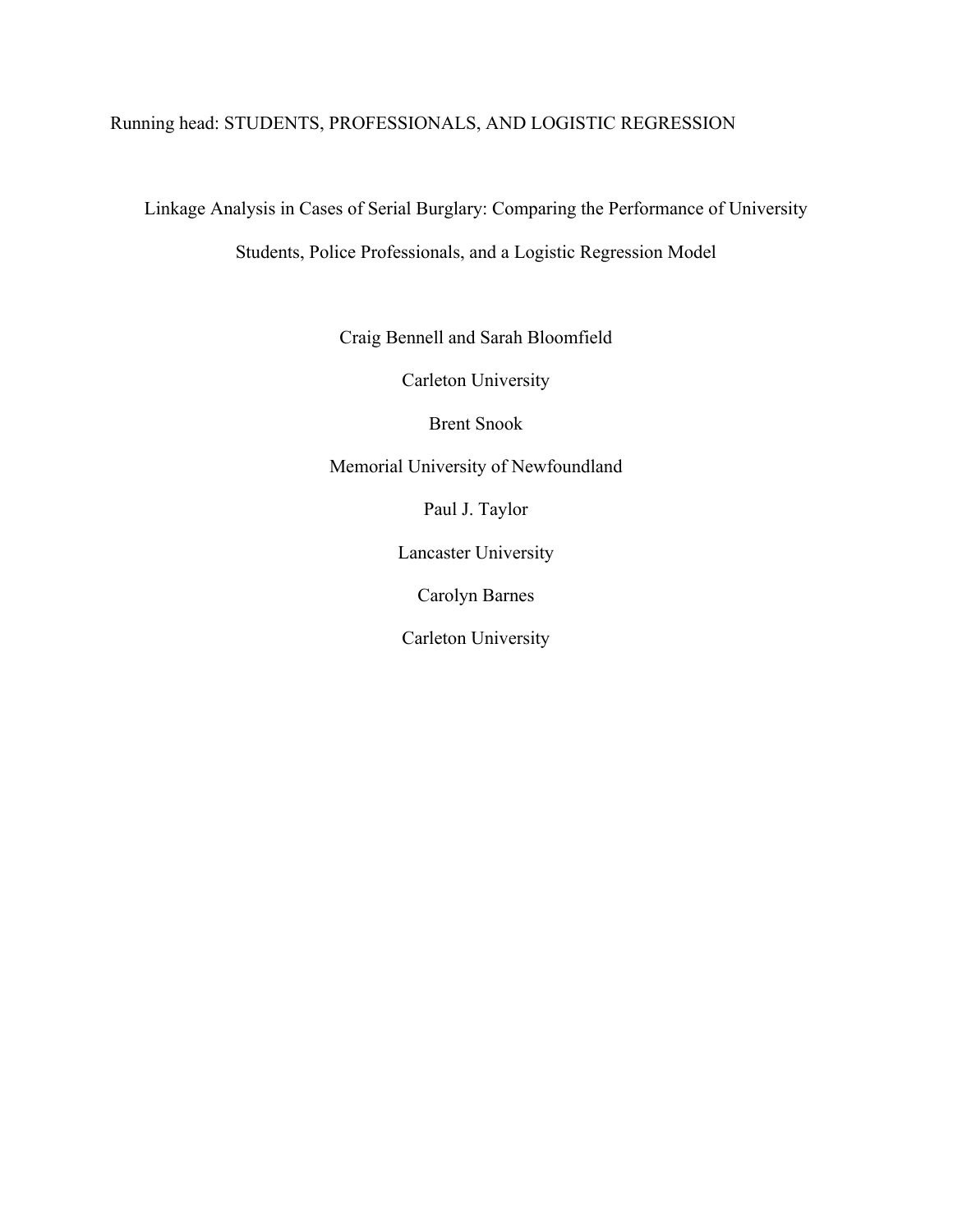# Running head: STUDENTS, PROFESSIONALS, AND LOGISTIC REGRESSION

Linkage Analysis in Cases of Serial Burglary: Comparing the Performance of University

Students, Police Professionals, and a Logistic Regression Model

Craig Bennell and Sarah Bloomfield

Carleton University

Brent Snook

Memorial University of Newfoundland

Paul J. Taylor

Lancaster University

Carolyn Barnes

Carleton University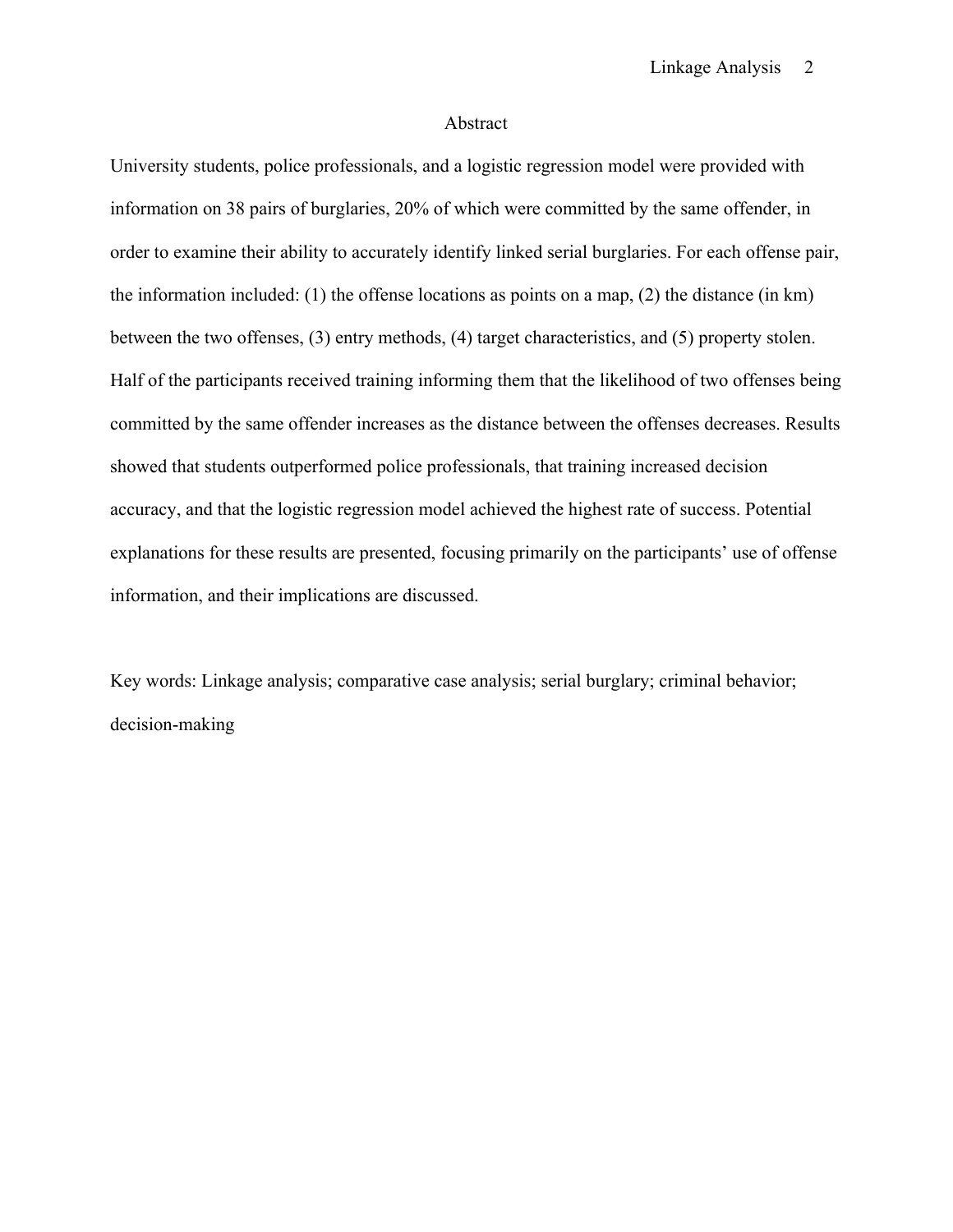### Abstract

University students, police professionals, and a logistic regression model were provided with information on 38 pairs of burglaries, 20% of which were committed by the same offender, in order to examine their ability to accurately identify linked serial burglaries. For each offense pair, the information included: (1) the offense locations as points on a map, (2) the distance (in km) between the two offenses, (3) entry methods, (4) target characteristics, and (5) property stolen. Half of the participants received training informing them that the likelihood of two offenses being committed by the same offender increases as the distance between the offenses decreases. Results showed that students outperformed police professionals, that training increased decision accuracy, and that the logistic regression model achieved the highest rate of success. Potential explanations for these results are presented, focusing primarily on the participants' use of offense information, and their implications are discussed.

Key words: Linkage analysis; comparative case analysis; serial burglary; criminal behavior; decision-making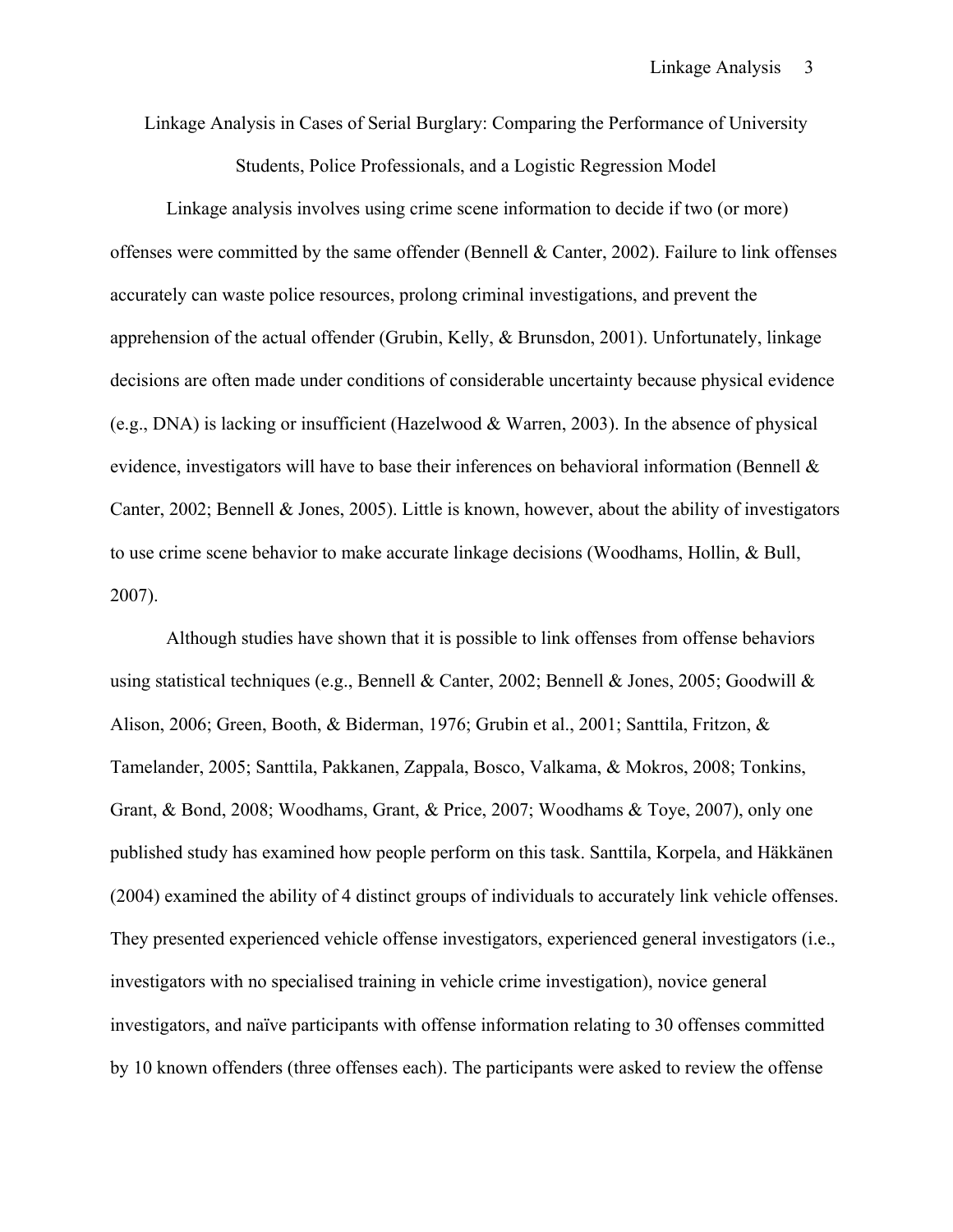Linkage Analysis in Cases of Serial Burglary: Comparing the Performance of University Students, Police Professionals, and a Logistic Regression Model

Linkage analysis involves using crime scene information to decide if two (or more) offenses were committed by the same offender (Bennell & Canter, 2002). Failure to link offenses accurately can waste police resources, prolong criminal investigations, and prevent the apprehension of the actual offender (Grubin, Kelly, & Brunsdon, 2001). Unfortunately, linkage decisions are often made under conditions of considerable uncertainty because physical evidence (e.g., DNA) is lacking or insufficient (Hazelwood & Warren, 2003). In the absence of physical evidence, investigators will have to base their inferences on behavioral information (Bennell  $\&$ Canter, 2002; Bennell & Jones, 2005). Little is known, however, about the ability of investigators to use crime scene behavior to make accurate linkage decisions (Woodhams, Hollin, & Bull, 2007).

Although studies have shown that it is possible to link offenses from offense behaviors using statistical techniques (e.g., Bennell & Canter, 2002; Bennell & Jones, 2005; Goodwill & Alison, 2006; Green, Booth, & Biderman, 1976; Grubin et al., 2001; Santtila, Fritzon, & Tamelander, 2005; Santtila, Pakkanen, Zappala, Bosco, Valkama, & Mokros, 2008; Tonkins, Grant, & Bond, 2008; Woodhams, Grant, & Price, 2007; Woodhams & Toye, 2007), only one published study has examined how people perform on this task. Santtila, Korpela, and Häkkänen (2004) examined the ability of 4 distinct groups of individuals to accurately link vehicle offenses. They presented experienced vehicle offense investigators, experienced general investigators (i.e., investigators with no specialised training in vehicle crime investigation), novice general investigators, and naïve participants with offense information relating to 30 offenses committed by 10 known offenders (three offenses each). The participants were asked to review the offense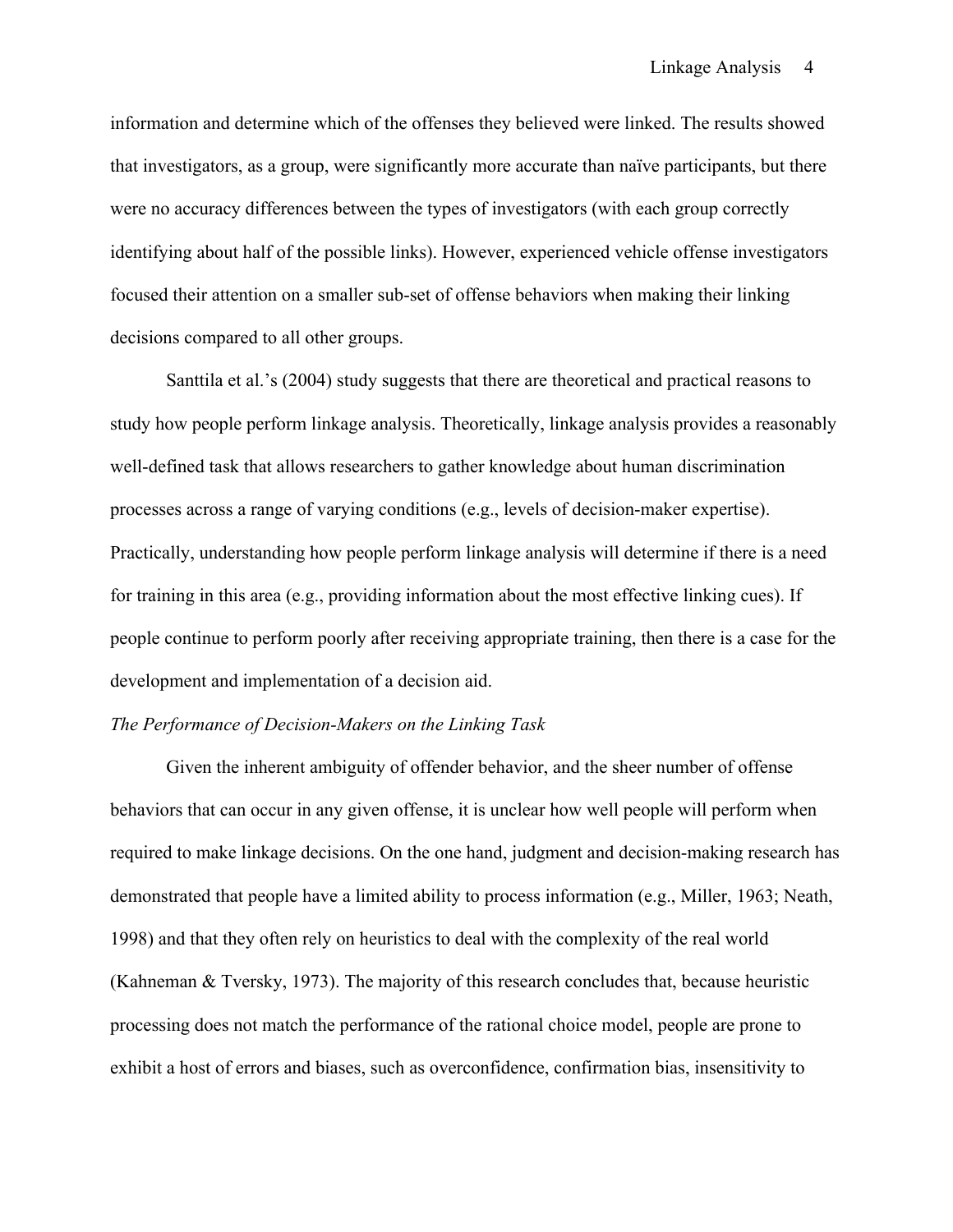information and determine which of the offenses they believed were linked. The results showed that investigators, as a group, were significantly more accurate than naïve participants, but there were no accuracy differences between the types of investigators (with each group correctly identifying about half of the possible links). However, experienced vehicle offense investigators focused their attention on a smaller sub-set of offense behaviors when making their linking decisions compared to all other groups.

Santtila et al.'s (2004) study suggests that there are theoretical and practical reasons to study how people perform linkage analysis. Theoretically, linkage analysis provides a reasonably well-defined task that allows researchers to gather knowledge about human discrimination processes across a range of varying conditions (e.g., levels of decision-maker expertise). Practically, understanding how people perform linkage analysis will determine if there is a need for training in this area (e.g., providing information about the most effective linking cues). If people continue to perform poorly after receiving appropriate training, then there is a case for the development and implementation of a decision aid.

## *The Performance of Decision-Makers on the Linking Task*

Given the inherent ambiguity of offender behavior, and the sheer number of offense behaviors that can occur in any given offense, it is unclear how well people will perform when required to make linkage decisions. On the one hand, judgment and decision-making research has demonstrated that people have a limited ability to process information (e.g., Miller, 1963; Neath, 1998) and that they often rely on heuristics to deal with the complexity of the real world (Kahneman & Tversky, 1973). The majority of this research concludes that, because heuristic processing does not match the performance of the rational choice model, people are prone to exhibit a host of errors and biases, such as overconfidence, confirmation bias, insensitivity to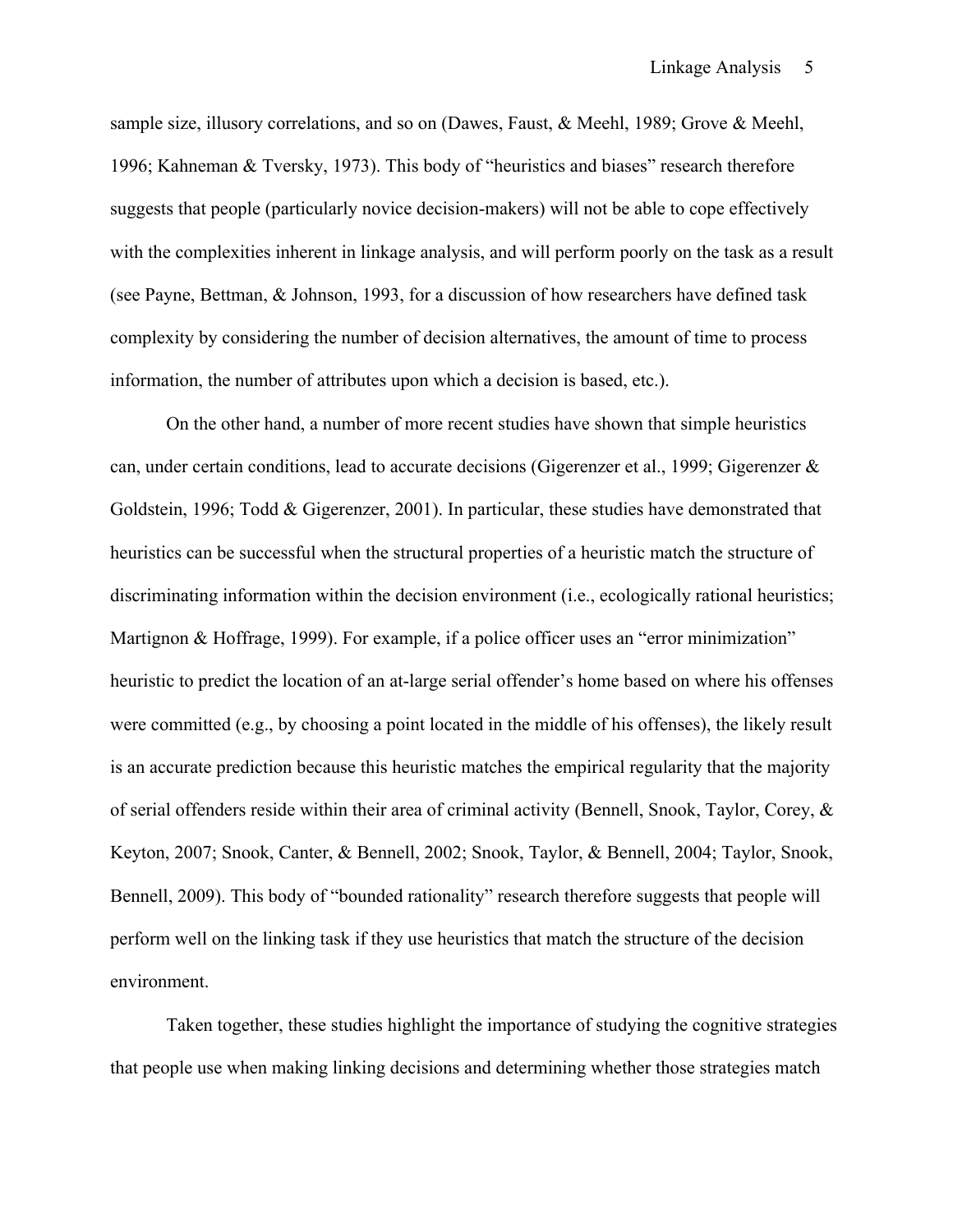sample size, illusory correlations, and so on (Dawes, Faust, & Meehl, 1989; Grove & Meehl, 1996; Kahneman & Tversky, 1973). This body of "heuristics and biases" research therefore suggests that people (particularly novice decision-makers) will not be able to cope effectively with the complexities inherent in linkage analysis, and will perform poorly on the task as a result (see Payne, Bettman, & Johnson, 1993, for a discussion of how researchers have defined task complexity by considering the number of decision alternatives, the amount of time to process information, the number of attributes upon which a decision is based, etc.).

On the other hand, a number of more recent studies have shown that simple heuristics can, under certain conditions, lead to accurate decisions (Gigerenzer et al., 1999; Gigerenzer & Goldstein, 1996; Todd & Gigerenzer, 2001). In particular, these studies have demonstrated that heuristics can be successful when the structural properties of a heuristic match the structure of discriminating information within the decision environment (i.e., ecologically rational heuristics; Martignon & Hoffrage, 1999). For example, if a police officer uses an "error minimization" heuristic to predict the location of an at-large serial offender's home based on where his offenses were committed (e.g., by choosing a point located in the middle of his offenses), the likely result is an accurate prediction because this heuristic matches the empirical regularity that the majority of serial offenders reside within their area of criminal activity (Bennell, Snook, Taylor, Corey, & Keyton, 2007; Snook, Canter, & Bennell, 2002; Snook, Taylor, & Bennell, 2004; Taylor, Snook, Bennell, 2009). This body of "bounded rationality" research therefore suggests that people will perform well on the linking task if they use heuristics that match the structure of the decision environment.

Taken together, these studies highlight the importance of studying the cognitive strategies that people use when making linking decisions and determining whether those strategies match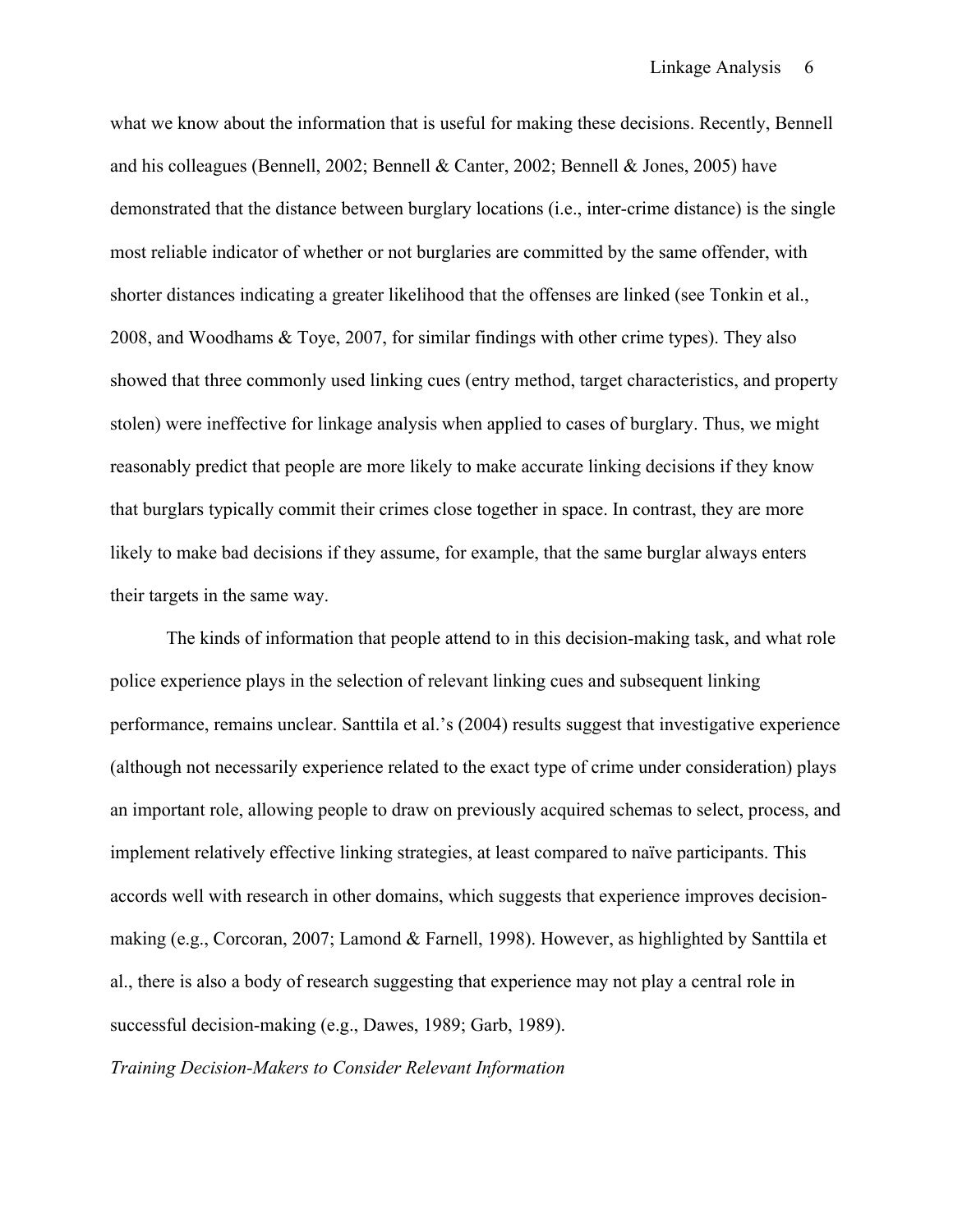what we know about the information that is useful for making these decisions. Recently, Bennell and his colleagues (Bennell, 2002; Bennell & Canter, 2002; Bennell & Jones, 2005) have demonstrated that the distance between burglary locations (i.e., inter-crime distance) is the single most reliable indicator of whether or not burglaries are committed by the same offender, with shorter distances indicating a greater likelihood that the offenses are linked (see Tonkin et al., 2008, and Woodhams & Toye, 2007, for similar findings with other crime types). They also showed that three commonly used linking cues (entry method, target characteristics, and property stolen) were ineffective for linkage analysis when applied to cases of burglary. Thus, we might reasonably predict that people are more likely to make accurate linking decisions if they know that burglars typically commit their crimes close together in space. In contrast, they are more likely to make bad decisions if they assume, for example, that the same burglar always enters their targets in the same way.

The kinds of information that people attend to in this decision-making task, and what role police experience plays in the selection of relevant linking cues and subsequent linking performance, remains unclear. Santtila et al.'s (2004) results suggest that investigative experience (although not necessarily experience related to the exact type of crime under consideration) plays an important role, allowing people to draw on previously acquired schemas to select, process, and implement relatively effective linking strategies, at least compared to naïve participants. This accords well with research in other domains, which suggests that experience improves decisionmaking (e.g., Corcoran, 2007; Lamond & Farnell, 1998). However, as highlighted by Santtila et al., there is also a body of research suggesting that experience may not play a central role in successful decision-making (e.g., Dawes, 1989; Garb, 1989).

*Training Decision-Makers to Consider Relevant Information*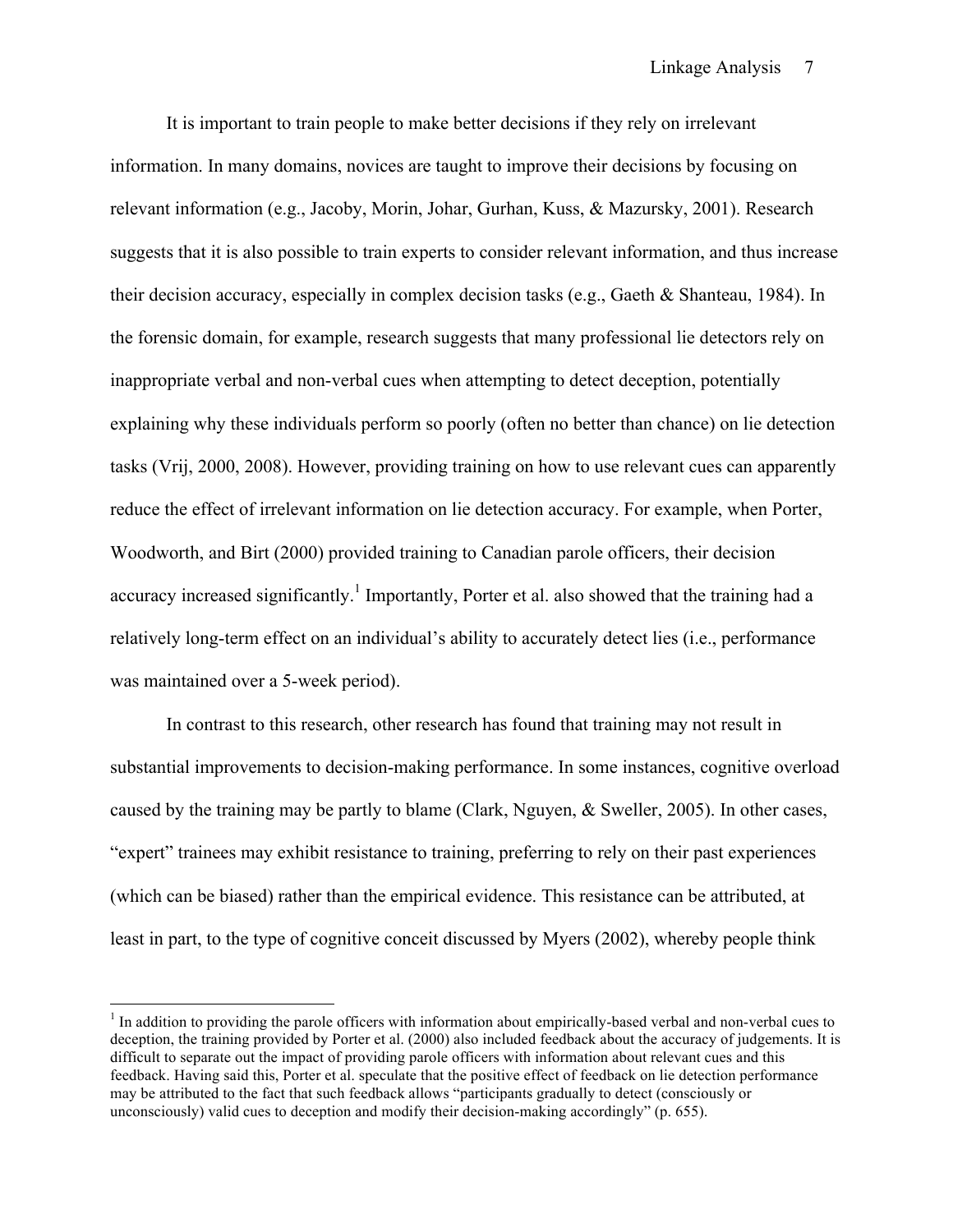It is important to train people to make better decisions if they rely on irrelevant information. In many domains, novices are taught to improve their decisions by focusing on relevant information (e.g., Jacoby, Morin, Johar, Gurhan, Kuss, & Mazursky, 2001). Research suggests that it is also possible to train experts to consider relevant information, and thus increase their decision accuracy, especially in complex decision tasks (e.g., Gaeth & Shanteau, 1984). In the forensic domain, for example, research suggests that many professional lie detectors rely on inappropriate verbal and non-verbal cues when attempting to detect deception, potentially explaining why these individuals perform so poorly (often no better than chance) on lie detection tasks (Vrij, 2000, 2008). However, providing training on how to use relevant cues can apparently reduce the effect of irrelevant information on lie detection accuracy. For example, when Porter, Woodworth, and Birt (2000) provided training to Canadian parole officers, their decision accuracy increased significantly.<sup>1</sup> Importantly, Porter et al. also showed that the training had a relatively long-term effect on an individual's ability to accurately detect lies (i.e., performance was maintained over a 5-week period).

In contrast to this research, other research has found that training may not result in substantial improvements to decision-making performance. In some instances, cognitive overload caused by the training may be partly to blame (Clark, Nguyen, & Sweller, 2005). In other cases, "expert" trainees may exhibit resistance to training, preferring to rely on their past experiences (which can be biased) rather than the empirical evidence. This resistance can be attributed, at least in part, to the type of cognitive conceit discussed by Myers (2002), whereby people think

 $<sup>1</sup>$  In addition to providing the parole officers with information about empirically-based verbal and non-verbal cues to</sup> deception, the training provided by Porter et al. (2000) also included feedback about the accuracy of judgements. It is difficult to separate out the impact of providing parole officers with information about relevant cues and this feedback. Having said this, Porter et al. speculate that the positive effect of feedback on lie detection performance may be attributed to the fact that such feedback allows "participants gradually to detect (consciously or unconsciously) valid cues to deception and modify their decision-making accordingly" (p. 655).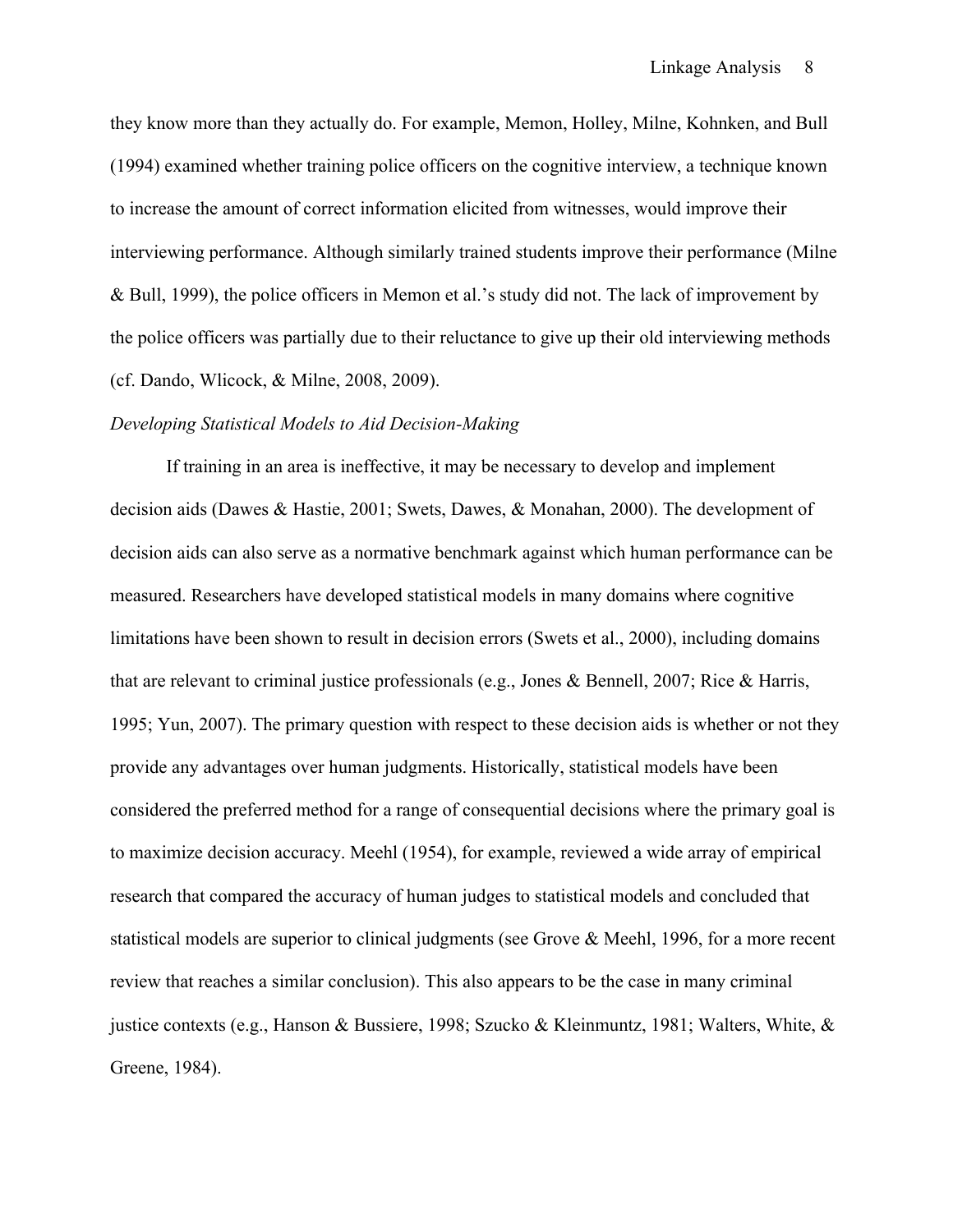they know more than they actually do. For example, Memon, Holley, Milne, Kohnken, and Bull (1994) examined whether training police officers on the cognitive interview, a technique known to increase the amount of correct information elicited from witnesses, would improve their interviewing performance. Although similarly trained students improve their performance (Milne & Bull, 1999), the police officers in Memon et al.'s study did not. The lack of improvement by the police officers was partially due to their reluctance to give up their old interviewing methods (cf. Dando, Wlicock, & Milne, 2008, 2009).

#### *Developing Statistical Models to Aid Decision-Making*

If training in an area is ineffective, it may be necessary to develop and implement decision aids (Dawes & Hastie, 2001; Swets, Dawes, & Monahan, 2000). The development of decision aids can also serve as a normative benchmark against which human performance can be measured. Researchers have developed statistical models in many domains where cognitive limitations have been shown to result in decision errors (Swets et al., 2000), including domains that are relevant to criminal justice professionals (e.g., Jones & Bennell, 2007; Rice & Harris, 1995; Yun, 2007). The primary question with respect to these decision aids is whether or not they provide any advantages over human judgments. Historically, statistical models have been considered the preferred method for a range of consequential decisions where the primary goal is to maximize decision accuracy. Meehl (1954), for example, reviewed a wide array of empirical research that compared the accuracy of human judges to statistical models and concluded that statistical models are superior to clinical judgments (see Grove & Meehl, 1996, for a more recent review that reaches a similar conclusion). This also appears to be the case in many criminal justice contexts (e.g., Hanson & Bussiere, 1998; Szucko & Kleinmuntz, 1981; Walters, White, & Greene, 1984).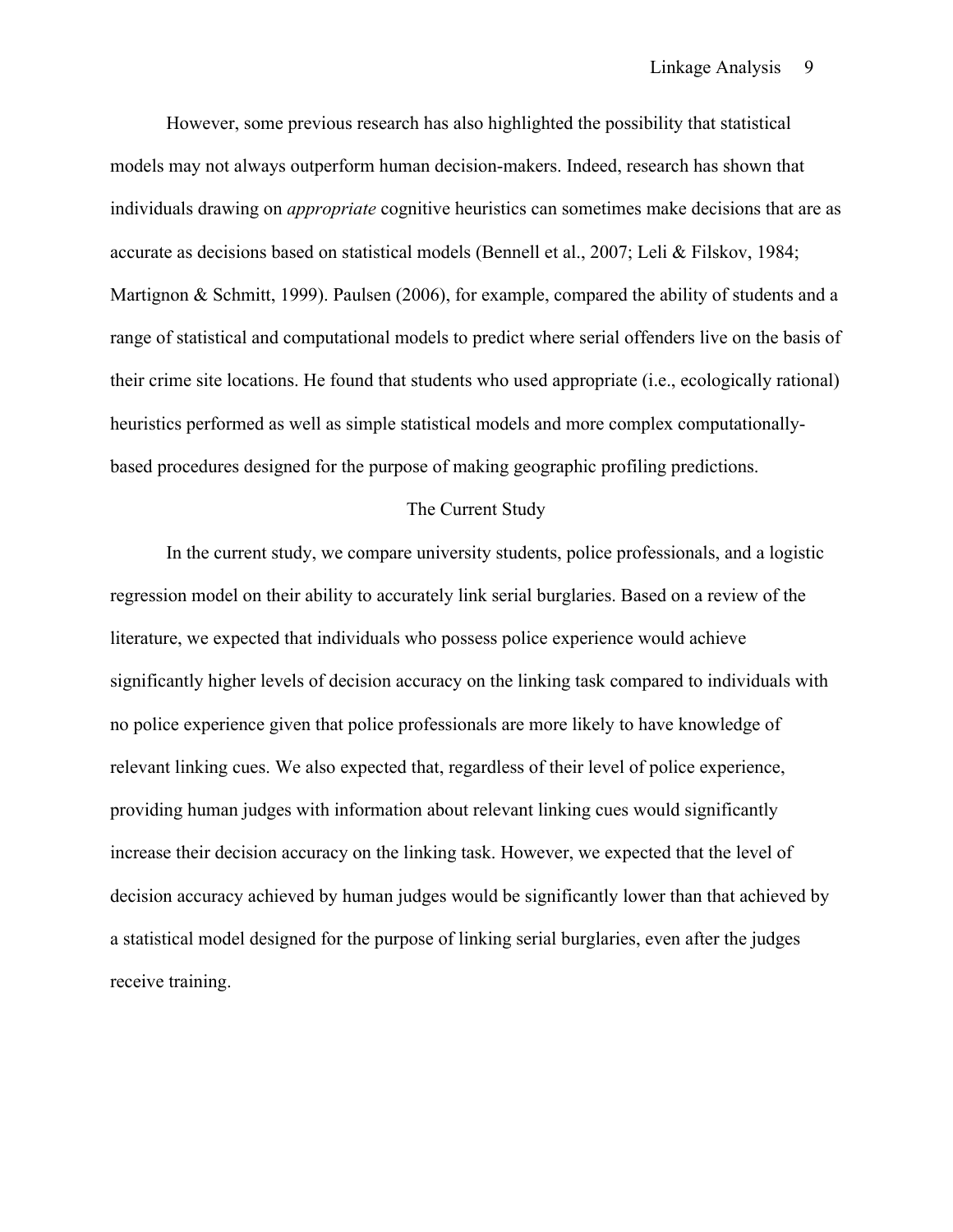However, some previous research has also highlighted the possibility that statistical models may not always outperform human decision-makers. Indeed, research has shown that individuals drawing on *appropriate* cognitive heuristics can sometimes make decisions that are as accurate as decisions based on statistical models (Bennell et al., 2007; Leli & Filskov, 1984; Martignon & Schmitt, 1999). Paulsen (2006), for example, compared the ability of students and a range of statistical and computational models to predict where serial offenders live on the basis of their crime site locations. He found that students who used appropriate (i.e., ecologically rational) heuristics performed as well as simple statistical models and more complex computationallybased procedures designed for the purpose of making geographic profiling predictions.

## The Current Study

In the current study, we compare university students, police professionals, and a logistic regression model on their ability to accurately link serial burglaries. Based on a review of the literature, we expected that individuals who possess police experience would achieve significantly higher levels of decision accuracy on the linking task compared to individuals with no police experience given that police professionals are more likely to have knowledge of relevant linking cues. We also expected that, regardless of their level of police experience, providing human judges with information about relevant linking cues would significantly increase their decision accuracy on the linking task. However, we expected that the level of decision accuracy achieved by human judges would be significantly lower than that achieved by a statistical model designed for the purpose of linking serial burglaries, even after the judges receive training.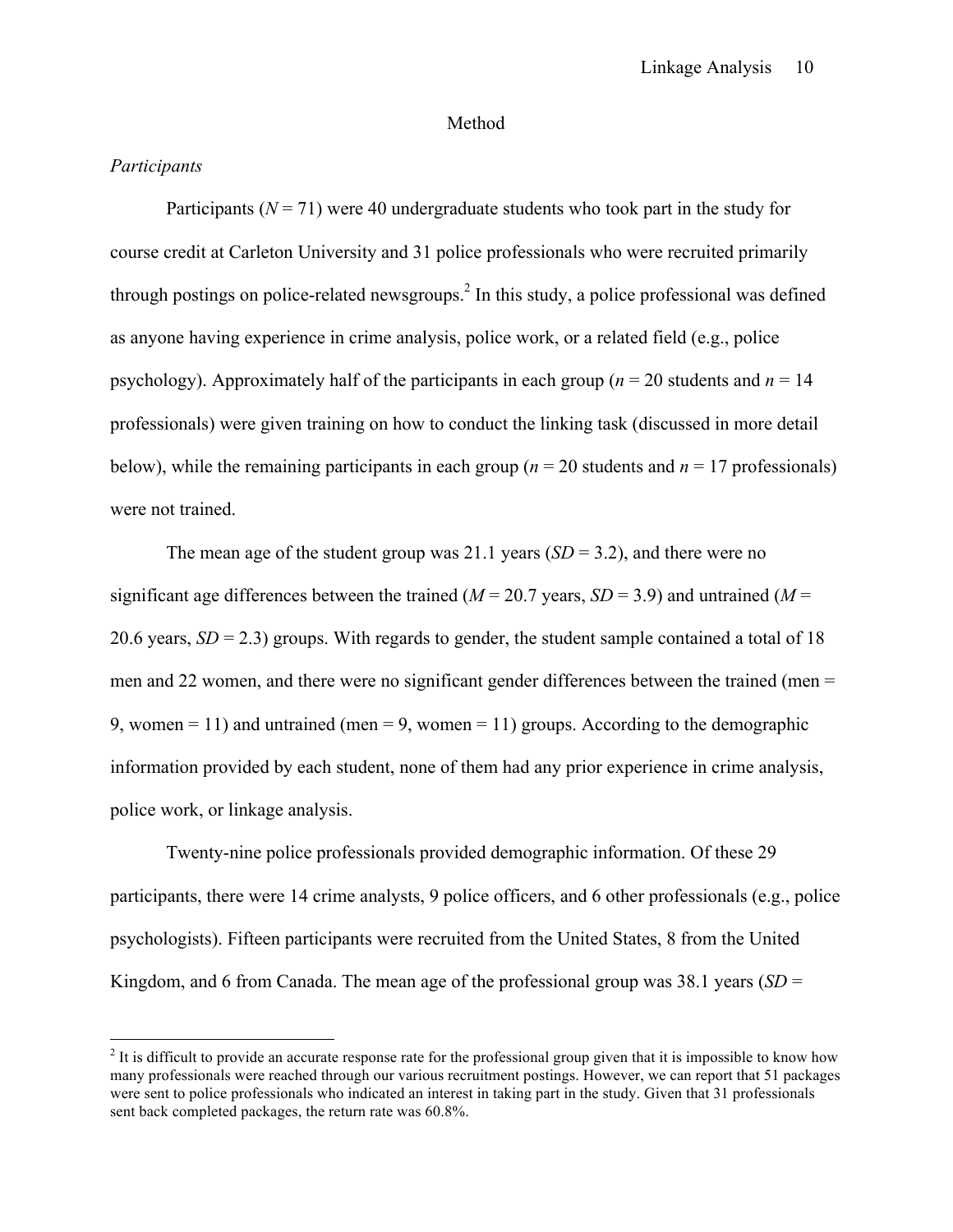# Method

# *Participants*

Participants ( $N = 71$ ) were 40 undergraduate students who took part in the study for course credit at Carleton University and 31 police professionals who were recruited primarily through postings on police-related newsgroups.<sup>2</sup> In this study, a police professional was defined as anyone having experience in crime analysis, police work, or a related field (e.g., police psychology). Approximately half of the participants in each group (*n* = 20 students and *n* = 14 professionals) were given training on how to conduct the linking task (discussed in more detail below), while the remaining participants in each group ( $n = 20$  students and  $n = 17$  professionals) were not trained.

The mean age of the student group was 21.1 years  $(SD = 3.2)$ , and there were no significant age differences between the trained ( $M = 20.7$  years,  $SD = 3.9$ ) and untrained ( $M =$ 20.6 years,  $SD = 2.3$ ) groups. With regards to gender, the student sample contained a total of 18 men and 22 women, and there were no significant gender differences between the trained (men = 9, women  $= 11$ ) and untrained (men  $= 9$ , women  $= 11$ ) groups. According to the demographic information provided by each student, none of them had any prior experience in crime analysis, police work, or linkage analysis.

Twenty-nine police professionals provided demographic information. Of these 29 participants, there were 14 crime analysts, 9 police officers, and 6 other professionals (e.g., police psychologists). Fifteen participants were recruited from the United States, 8 from the United Kingdom, and 6 from Canada. The mean age of the professional group was 38.1 years (*SD* =

 $2<sup>2</sup>$  It is difficult to provide an accurate response rate for the professional group given that it is impossible to know how many professionals were reached through our various recruitment postings. However, we can report that 51 packages were sent to police professionals who indicated an interest in taking part in the study. Given that 31 professionals sent back completed packages, the return rate was 60.8%.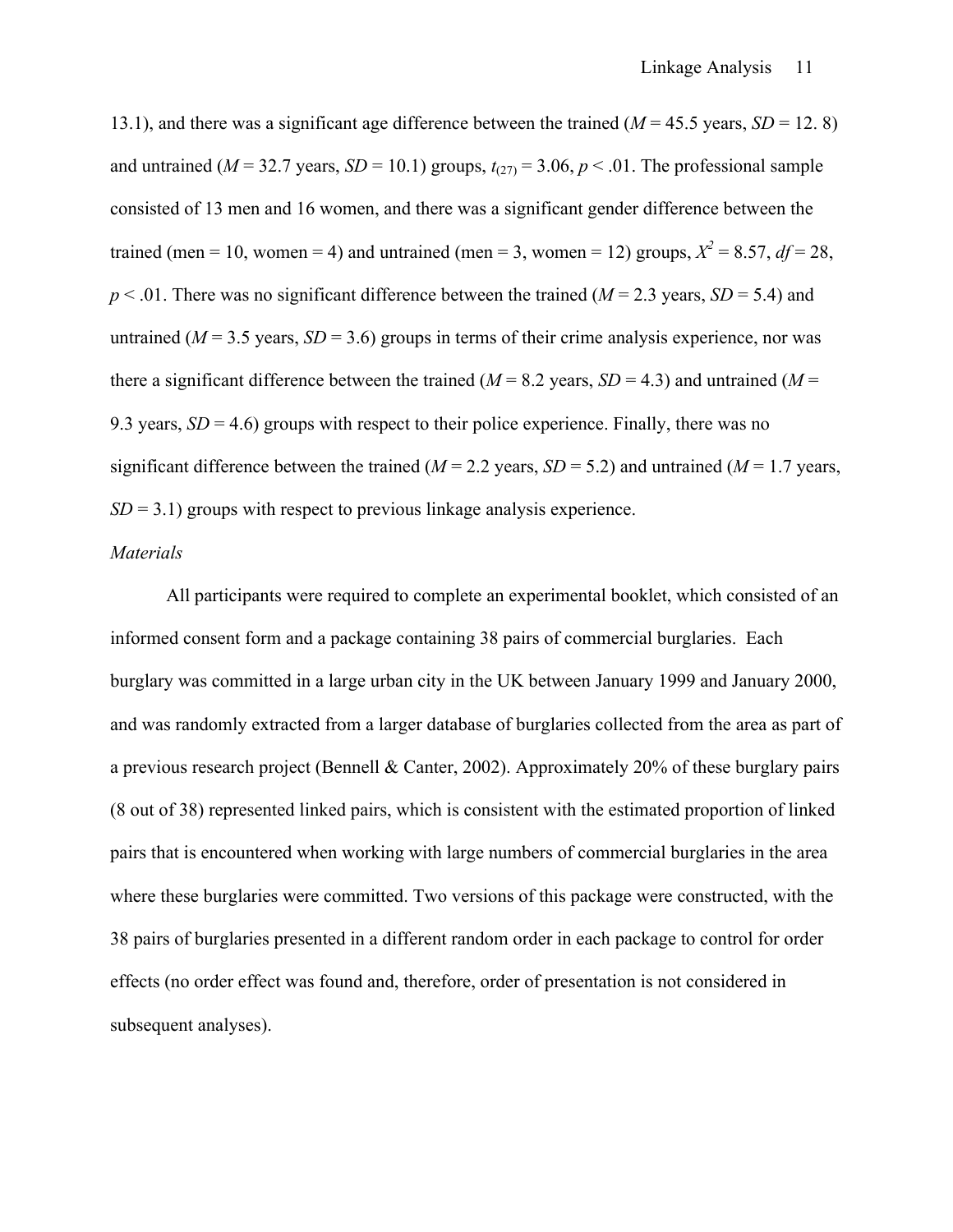13.1), and there was a significant age difference between the trained  $(M = 45.5$  years,  $SD = 12.8$ ) and untrained ( $M = 32.7$  years,  $SD = 10.1$ ) groups,  $t_{(27)} = 3.06$ ,  $p < .01$ . The professional sample consisted of 13 men and 16 women, and there was a significant gender difference between the trained (men = 10, women = 4) and untrained (men = 3, women = 12) groups,  $X^2 = 8.57$ ,  $df = 28$ , *p* < .01. There was no significant difference between the trained (*M* = 2.3 years, *SD* = 5.4) and untrained ( $M = 3.5$  years,  $SD = 3.6$ ) groups in terms of their crime analysis experience, nor was there a significant difference between the trained ( $M = 8.2$  years,  $SD = 4.3$ ) and untrained ( $M =$ 9.3 years,  $SD = 4.6$ ) groups with respect to their police experience. Finally, there was no significant difference between the trained ( $M = 2.2$  years,  $SD = 5.2$ ) and untrained ( $M = 1.7$  years,  $SD = 3.1$ ) groups with respect to previous linkage analysis experience.

#### *Materials*

All participants were required to complete an experimental booklet, which consisted of an informed consent form and a package containing 38 pairs of commercial burglaries. Each burglary was committed in a large urban city in the UK between January 1999 and January 2000, and was randomly extracted from a larger database of burglaries collected from the area as part of a previous research project (Bennell & Canter, 2002). Approximately 20% of these burglary pairs (8 out of 38) represented linked pairs, which is consistent with the estimated proportion of linked pairs that is encountered when working with large numbers of commercial burglaries in the area where these burglaries were committed. Two versions of this package were constructed, with the 38 pairs of burglaries presented in a different random order in each package to control for order effects (no order effect was found and, therefore, order of presentation is not considered in subsequent analyses).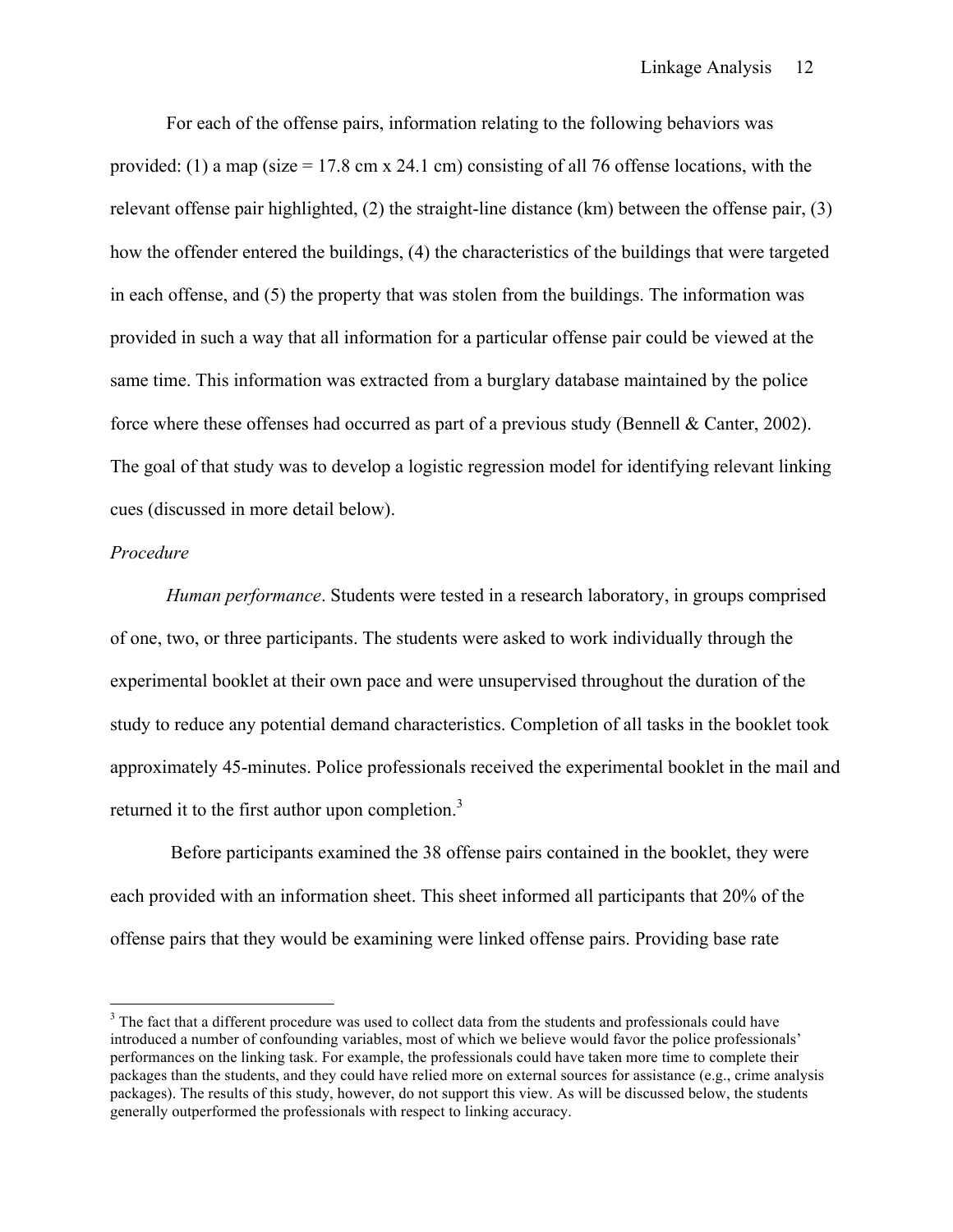For each of the offense pairs, information relating to the following behaviors was provided: (1) a map (size  $= 17.8$  cm x 24.1 cm) consisting of all 76 offense locations, with the relevant offense pair highlighted, (2) the straight-line distance (km) between the offense pair, (3) how the offender entered the buildings, (4) the characteristics of the buildings that were targeted in each offense, and (5) the property that was stolen from the buildings. The information was provided in such a way that all information for a particular offense pair could be viewed at the same time. This information was extracted from a burglary database maintained by the police force where these offenses had occurred as part of a previous study (Bennell & Canter, 2002). The goal of that study was to develop a logistic regression model for identifying relevant linking cues (discussed in more detail below).

### *Procedure*

*Human performance*. Students were tested in a research laboratory, in groups comprised of one, two, or three participants. The students were asked to work individually through the experimental booklet at their own pace and were unsupervised throughout the duration of the study to reduce any potential demand characteristics. Completion of all tasks in the booklet took approximately 45-minutes. Police professionals received the experimental booklet in the mail and returned it to the first author upon completion.<sup>3</sup>

Before participants examined the 38 offense pairs contained in the booklet, they were each provided with an information sheet. This sheet informed all participants that 20% of the offense pairs that they would be examining were linked offense pairs. Providing base rate

<sup>&</sup>lt;sup>3</sup> The fact that a different procedure was used to collect data from the students and professionals could have introduced a number of confounding variables, most of which we believe would favor the police professionals' performances on the linking task. For example, the professionals could have taken more time to complete their packages than the students, and they could have relied more on external sources for assistance (e.g., crime analysis packages). The results of this study, however, do not support this view. As will be discussed below, the students generally outperformed the professionals with respect to linking accuracy.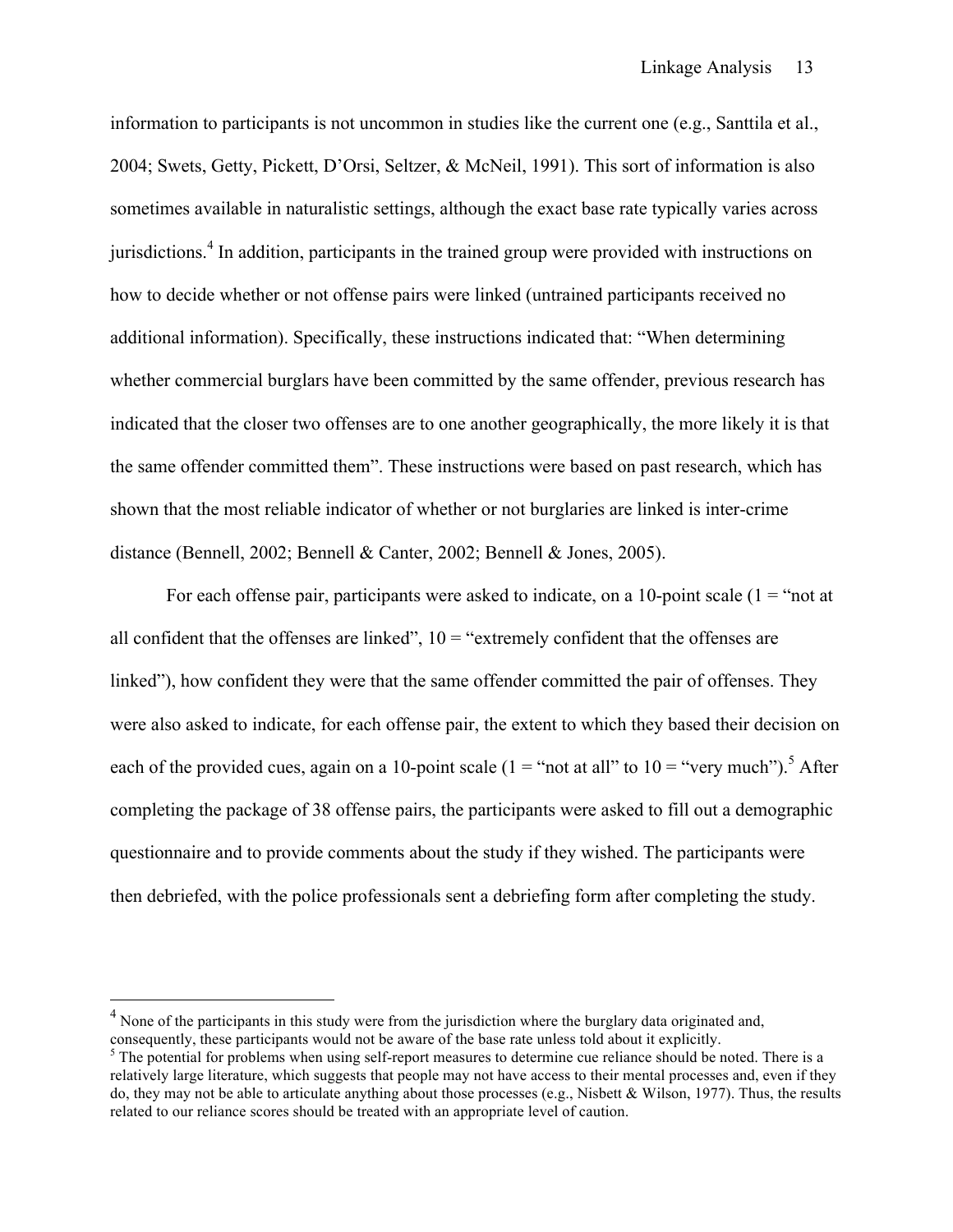information to participants is not uncommon in studies like the current one (e.g., Santtila et al., 2004; Swets, Getty, Pickett, D'Orsi, Seltzer, & McNeil, 1991). This sort of information is also sometimes available in naturalistic settings, although the exact base rate typically varies across jurisdictions.<sup>4</sup> In addition, participants in the trained group were provided with instructions on how to decide whether or not offense pairs were linked (untrained participants received no additional information). Specifically, these instructions indicated that: "When determining whether commercial burglars have been committed by the same offender, previous research has indicated that the closer two offenses are to one another geographically, the more likely it is that the same offender committed them". These instructions were based on past research, which has shown that the most reliable indicator of whether or not burglaries are linked is inter-crime distance (Bennell, 2002; Bennell & Canter, 2002; Bennell & Jones, 2005).

For each offense pair, participants were asked to indicate, on a 10-point scale  $(1 = "not at$ all confident that the offenses are linked",  $10 =$  "extremely confident that the offenses are linked"), how confident they were that the same offender committed the pair of offenses. They were also asked to indicate, for each offense pair, the extent to which they based their decision on each of the provided cues, again on a 10-point scale (1 = "not at all" to 10 = "very much").<sup>5</sup> After completing the package of 38 offense pairs, the participants were asked to fill out a demographic questionnaire and to provide comments about the study if they wished. The participants were then debriefed, with the police professionals sent a debriefing form after completing the study.

 $4$  None of the participants in this study were from the jurisdiction where the burglary data originated and, consequently, these participants would not be aware of the base rate unless told about it explicitly.

 $<sup>5</sup>$  The potential for problems when using self-report measures to determine cue reliance should be noted. There is a</sup> relatively large literature, which suggests that people may not have access to their mental processes and, even if they do, they may not be able to articulate anything about those processes (e.g., Nisbett & Wilson, 1977). Thus, the results related to our reliance scores should be treated with an appropriate level of caution.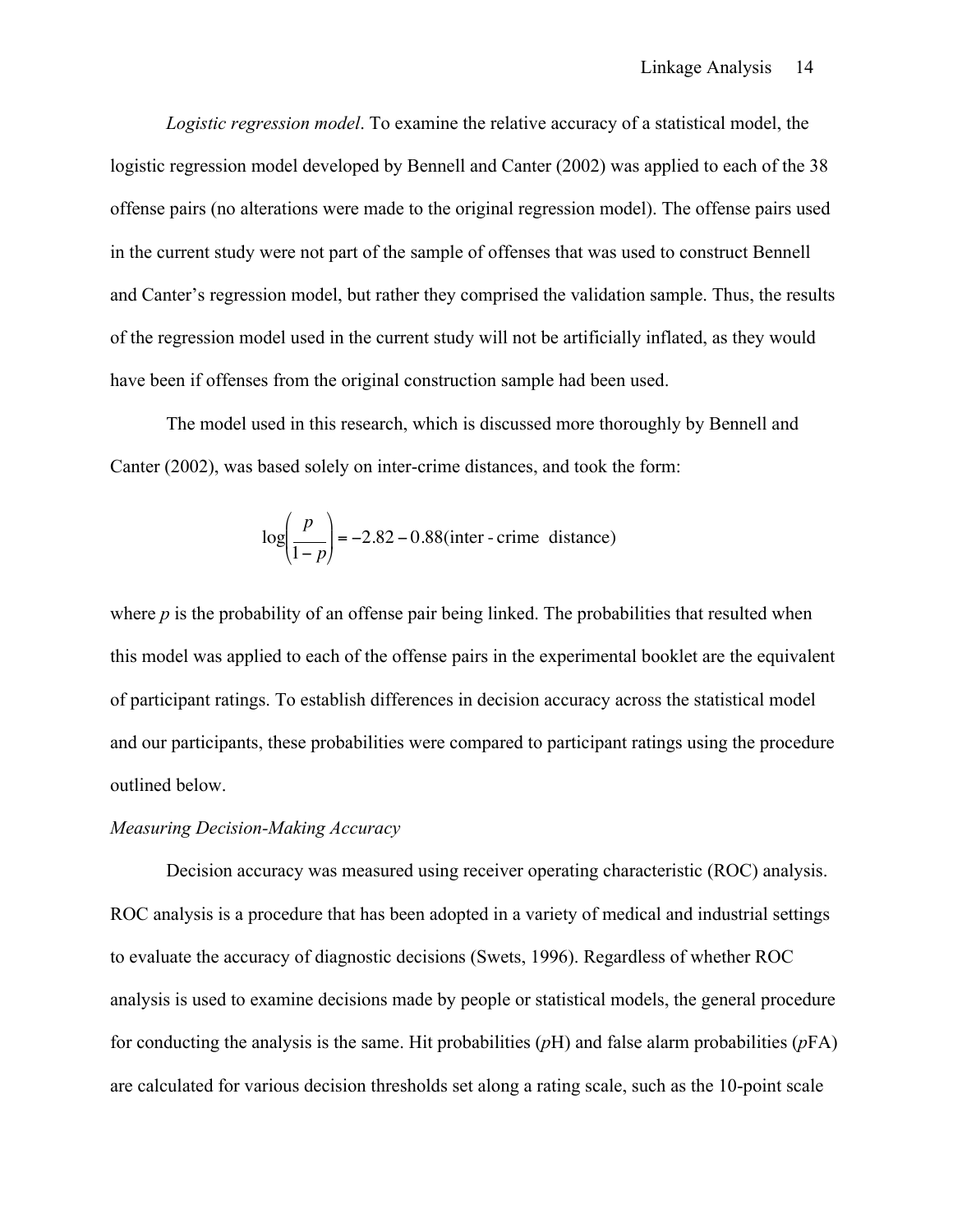*Logistic regression model*. To examine the relative accuracy of a statistical model, the logistic regression model developed by Bennell and Canter (2002) was applied to each of the 38 offense pairs (no alterations were made to the original regression model). The offense pairs used in the current study were not part of the sample of offenses that was used to construct Bennell and Canter's regression model, but rather they comprised the validation sample. Thus, the results of the regression model used in the current study will not be artificially inflated, as they would have been if offenses from the original construction sample had been used.

The model used in this research, which is discussed more thoroughly by Bennell and Canter (2002), was based solely on inter-crime distances, and took the form:

$$
\log\left(\frac{p}{1-p}\right) = -2.82 - 0.88 \text{(inter-crime distance)}
$$

where  $p$  is the probability of an offense pair being linked. The probabilities that resulted when this model was applied to each of the offense pairs in the experimental booklet are the equivalent of participant ratings. To establish differences in decision accuracy across the statistical model and our participants, these probabilities were compared to participant ratings using the procedure outlined below.

### *Measuring Decision-Making Accuracy*

Decision accuracy was measured using receiver operating characteristic (ROC) analysis. ROC analysis is a procedure that has been adopted in a variety of medical and industrial settings to evaluate the accuracy of diagnostic decisions (Swets, 1996). Regardless of whether ROC analysis is used to examine decisions made by people or statistical models, the general procedure for conducting the analysis is the same. Hit probabilities (*p*H) and false alarm probabilities (*p*FA) are calculated for various decision thresholds set along a rating scale, such as the 10-point scale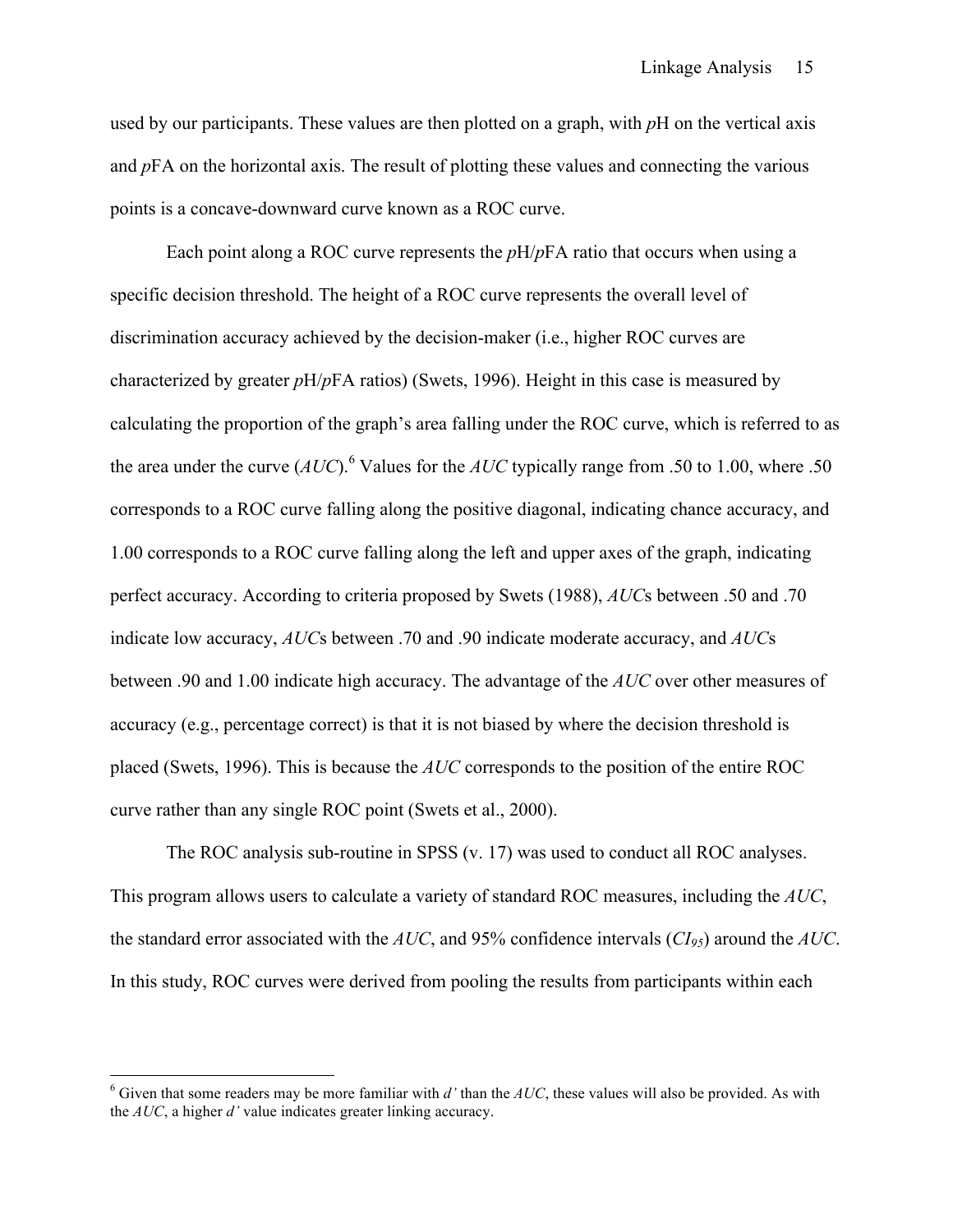used by our participants. These values are then plotted on a graph, with *p*H on the vertical axis and *p*FA on the horizontal axis. The result of plotting these values and connecting the various points is a concave-downward curve known as a ROC curve.

Each point along a ROC curve represents the *p*H/*p*FA ratio that occurs when using a specific decision threshold. The height of a ROC curve represents the overall level of discrimination accuracy achieved by the decision-maker (i.e., higher ROC curves are characterized by greater *p*H/*p*FA ratios) (Swets, 1996). Height in this case is measured by calculating the proportion of the graph's area falling under the ROC curve, which is referred to as the area under the curve  $(AUC)$ <sup>6</sup>. Values for the *AUC* typically range from .50 to 1.00, where .50 corresponds to a ROC curve falling along the positive diagonal, indicating chance accuracy, and 1.00 corresponds to a ROC curve falling along the left and upper axes of the graph, indicating perfect accuracy. According to criteria proposed by Swets (1988), *AUC*s between .50 and .70 indicate low accuracy, *AUC*s between .70 and .90 indicate moderate accuracy, and *AUC*s between .90 and 1.00 indicate high accuracy. The advantage of the *AUC* over other measures of accuracy (e.g., percentage correct) is that it is not biased by where the decision threshold is placed (Swets, 1996). This is because the *AUC* corresponds to the position of the entire ROC curve rather than any single ROC point (Swets et al., 2000).

The ROC analysis sub-routine in SPSS (v. 17) was used to conduct all ROC analyses. This program allows users to calculate a variety of standard ROC measures, including the *AUC*, the standard error associated with the *AUC*, and 95% confidence intervals (*CI95*) around the *AUC*. In this study, ROC curves were derived from pooling the results from participants within each

<sup>&</sup>lt;sup>6</sup> Given that some readers may be more familiar with  $d'$  than the  $AUC$ , these values will also be provided. As with the *AUC*, a higher *d'* value indicates greater linking accuracy.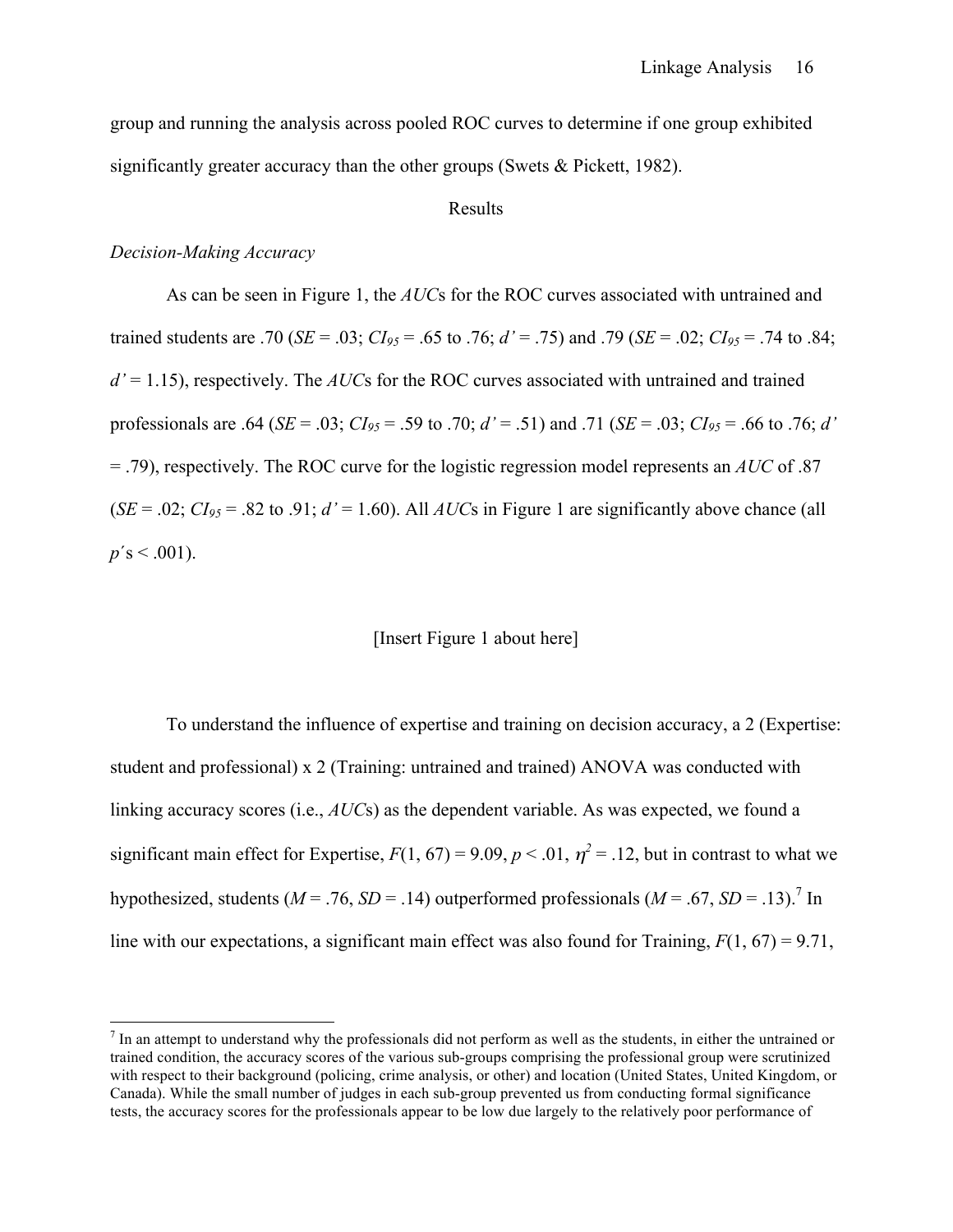group and running the analysis across pooled ROC curves to determine if one group exhibited significantly greater accuracy than the other groups (Swets & Pickett, 1982).

# Results

# *Decision-Making Accuracy*

As can be seen in Figure 1, the *AUC*s for the ROC curves associated with untrained and trained students are .70 (*SE* = .03; *CI<sub>95</sub>* = .65 to .76; *d'* = .75) and .79 (*SE* = .02; *CI<sub>95</sub>* = .74 to .84; *d'* = 1.15), respectively. The *AUC*s for the ROC curves associated with untrained and trained professionals are .64 (*SE* = .03; *CI<sub>95</sub>* = .59 to .70; *d'* = .51) and .71 (*SE* = .03; *CI<sub>95</sub>* = .66 to .76; *d'* = .79), respectively. The ROC curve for the logistic regression model represents an *AUC* of .87  $(SE = .02; CI<sub>95</sub> = .82$  to  $.91; d' = 1.60$ ). All *AUCs* in Figure 1 are significantly above chance (all  $p's < .001$ ).

# [Insert Figure 1 about here]

To understand the influence of expertise and training on decision accuracy, a 2 (Expertise: student and professional) x 2 (Training: untrained and trained) ANOVA was conducted with linking accuracy scores (i.e., *AUC*s) as the dependent variable. As was expected, we found a significant main effect for Expertise,  $F(1, 67) = 9.09$ ,  $p < .01$ ,  $\eta^2 = .12$ , but in contrast to what we hypothesized, students ( $M = .76$ ,  $SD = .14$ ) outperformed professionals ( $M = .67$ ,  $SD = .13$ ).<sup>7</sup> In line with our expectations, a significant main effect was also found for Training, *F*(1, 67) = 9.71,

 $<sup>7</sup>$  In an attempt to understand why the professionals did not perform as well as the students, in either the untrained or</sup> trained condition, the accuracy scores of the various sub-groups comprising the professional group were scrutinized with respect to their background (policing, crime analysis, or other) and location (United States, United Kingdom, or Canada). While the small number of judges in each sub-group prevented us from conducting formal significance tests, the accuracy scores for the professionals appear to be low due largely to the relatively poor performance of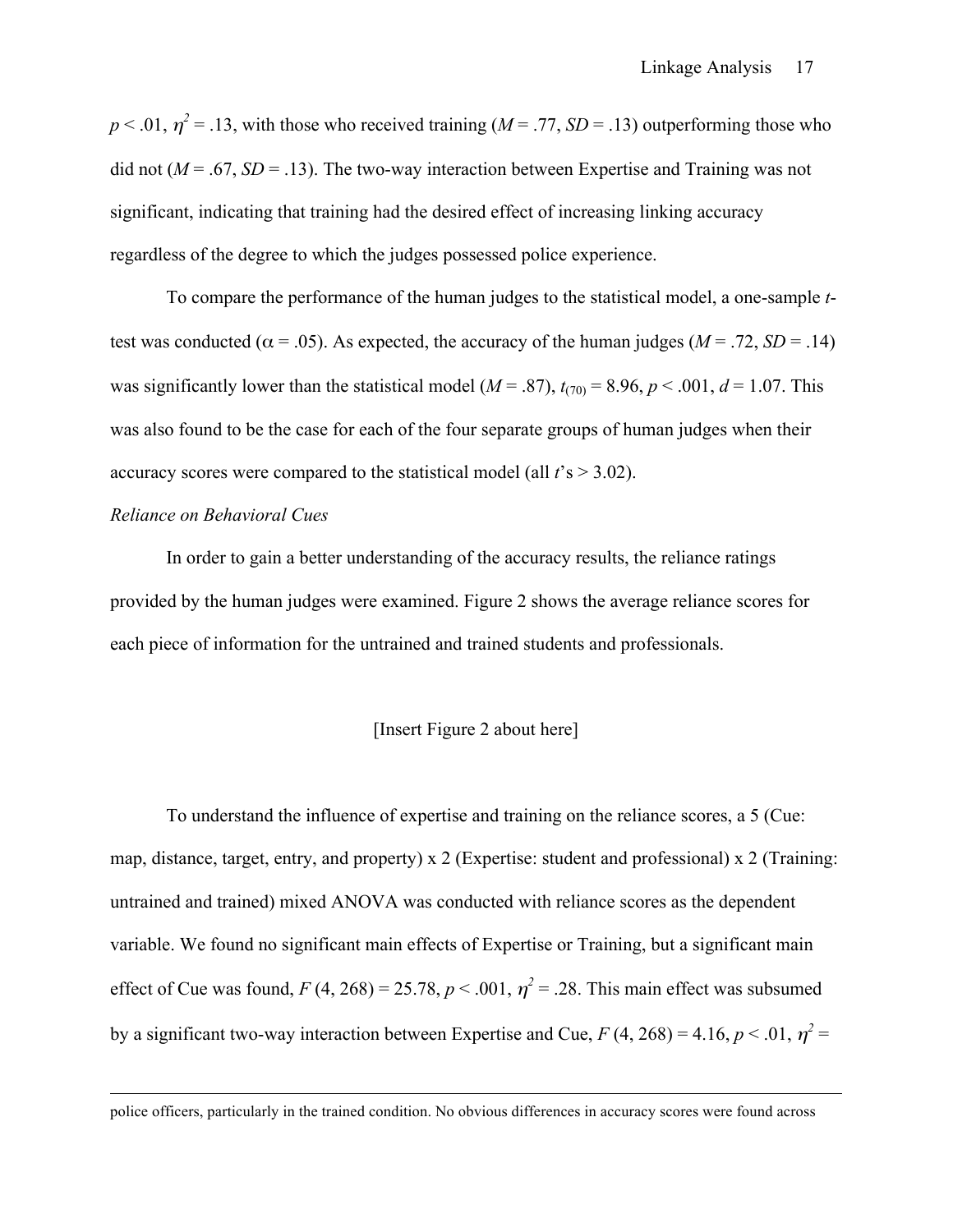$p < .01$ ,  $\eta^2 = .13$ , with those who received training (*M* = .77, *SD* = .13) outperforming those who did not  $(M = .67, SD = .13)$ . The two-way interaction between Expertise and Training was not significant, indicating that training had the desired effect of increasing linking accuracy regardless of the degree to which the judges possessed police experience.

To compare the performance of the human judges to the statistical model, a one-sample *t*test was conducted ( $\alpha$  = .05). As expected, the accuracy of the human judges ( $M = .72$ ,  $SD = .14$ ) was significantly lower than the statistical model ( $M = .87$ ),  $t_{(70)} = 8.96$ ,  $p \lt .001$ ,  $d = 1.07$ . This was also found to be the case for each of the four separate groups of human judges when their accuracy scores were compared to the statistical model (all *t*'s > 3.02).

# *Reliance on Behavioral Cues*

In order to gain a better understanding of the accuracy results, the reliance ratings provided by the human judges were examined. Figure 2 shows the average reliance scores for each piece of information for the untrained and trained students and professionals.

# [Insert Figure 2 about here]

To understand the influence of expertise and training on the reliance scores, a 5 (Cue: map, distance, target, entry, and property) x 2 (Expertise: student and professional) x 2 (Training: untrained and trained) mixed ANOVA was conducted with reliance scores as the dependent variable. We found no significant main effects of Expertise or Training, but a significant main effect of Cue was found,  $F(4, 268) = 25.78$ ,  $p < .001$ ,  $\eta^2 = .28$ . This main effect was subsumed by a significant two-way interaction between Expertise and Cue,  $F(4, 268) = 4.16$ ,  $p < .01$ ,  $\eta^2 =$ 

police officers, particularly in the trained condition. No obvious differences in accuracy scores were found across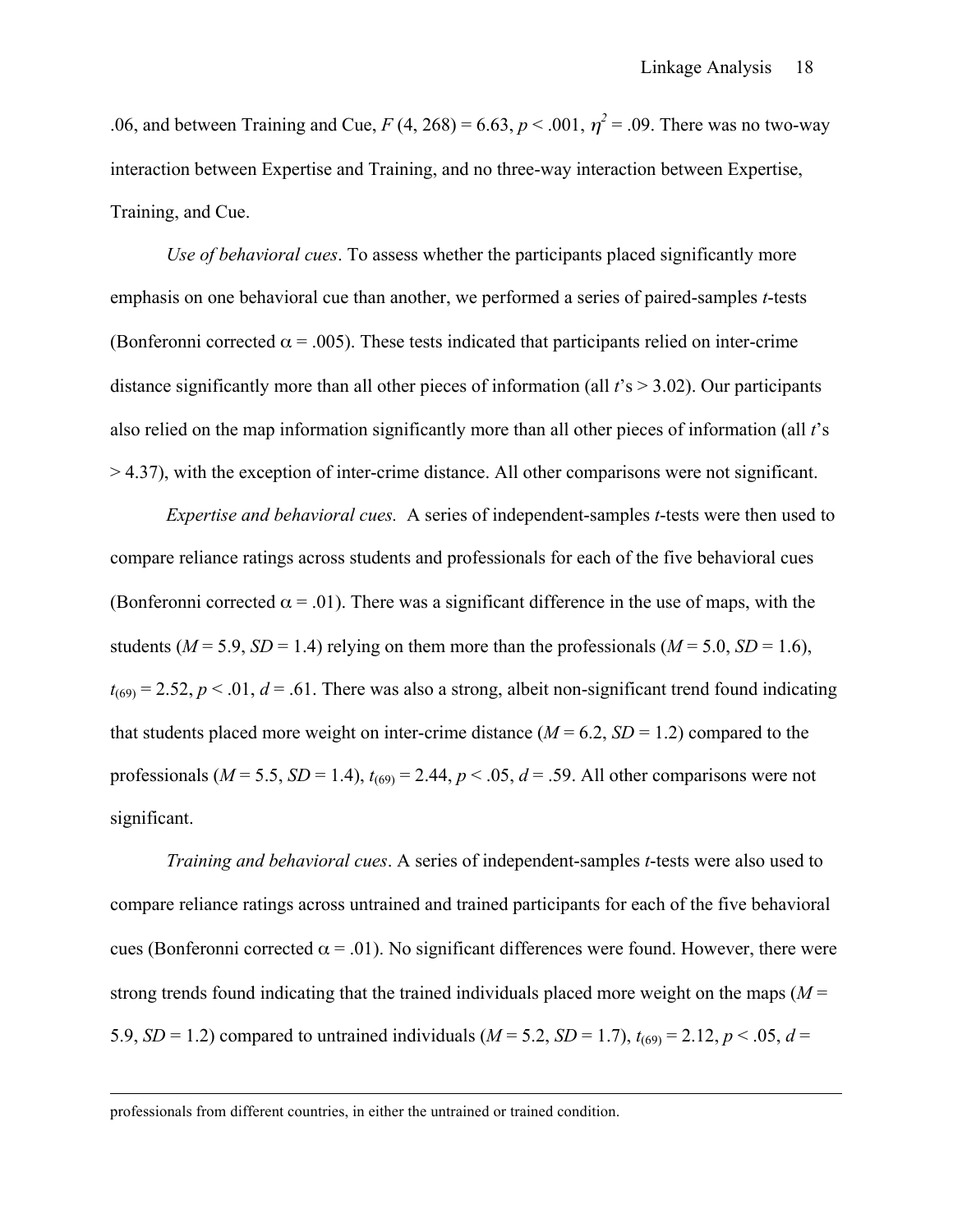.06, and between Training and Cue,  $F(4, 268) = 6.63$ ,  $p < .001$ ,  $\eta^2 = .09$ . There was no two-way interaction between Expertise and Training, and no three-way interaction between Expertise, Training, and Cue.

*Use of behavioral cues*. To assess whether the participants placed significantly more emphasis on one behavioral cue than another, we performed a series of paired-samples *t*-tests (Bonferonni corrected  $\alpha$  = .005). These tests indicated that participants relied on inter-crime distance significantly more than all other pieces of information (all *t*'s > 3.02). Our participants also relied on the map information significantly more than all other pieces of information (all *t*'s  $>$  4.37), with the exception of inter-crime distance. All other comparisons were not significant.

*Expertise and behavioral cues.* A series of independent-samples *t*-tests were then used to compare reliance ratings across students and professionals for each of the five behavioral cues (Bonferonni corrected  $\alpha = .01$ ). There was a significant difference in the use of maps, with the students ( $M = 5.9$ ,  $SD = 1.4$ ) relying on them more than the professionals ( $M = 5.0$ ,  $SD = 1.6$ ),  $t_{(69)} = 2.52$ ,  $p < .01$ ,  $d = .61$ . There was also a strong, albeit non-significant trend found indicating that students placed more weight on inter-crime distance  $(M = 6.2, SD = 1.2)$  compared to the professionals ( $M = 5.5$ ,  $SD = 1.4$ ),  $t_{(69)} = 2.44$ ,  $p < .05$ ,  $d = .59$ . All other comparisons were not significant.

*Training and behavioral cues*. A series of independent-samples *t*-tests were also used to compare reliance ratings across untrained and trained participants for each of the five behavioral cues (Bonferonni corrected  $\alpha$  = .01). No significant differences were found. However, there were strong trends found indicating that the trained individuals placed more weight on the maps (*M* = 5.9, *SD* = 1.2) compared to untrained individuals ( $M = 5.2$ , *SD* = 1.7),  $t_{(69)} = 2.12$ ,  $p < .05$ ,  $d =$ 

professionals from different countries, in either the untrained or trained condition.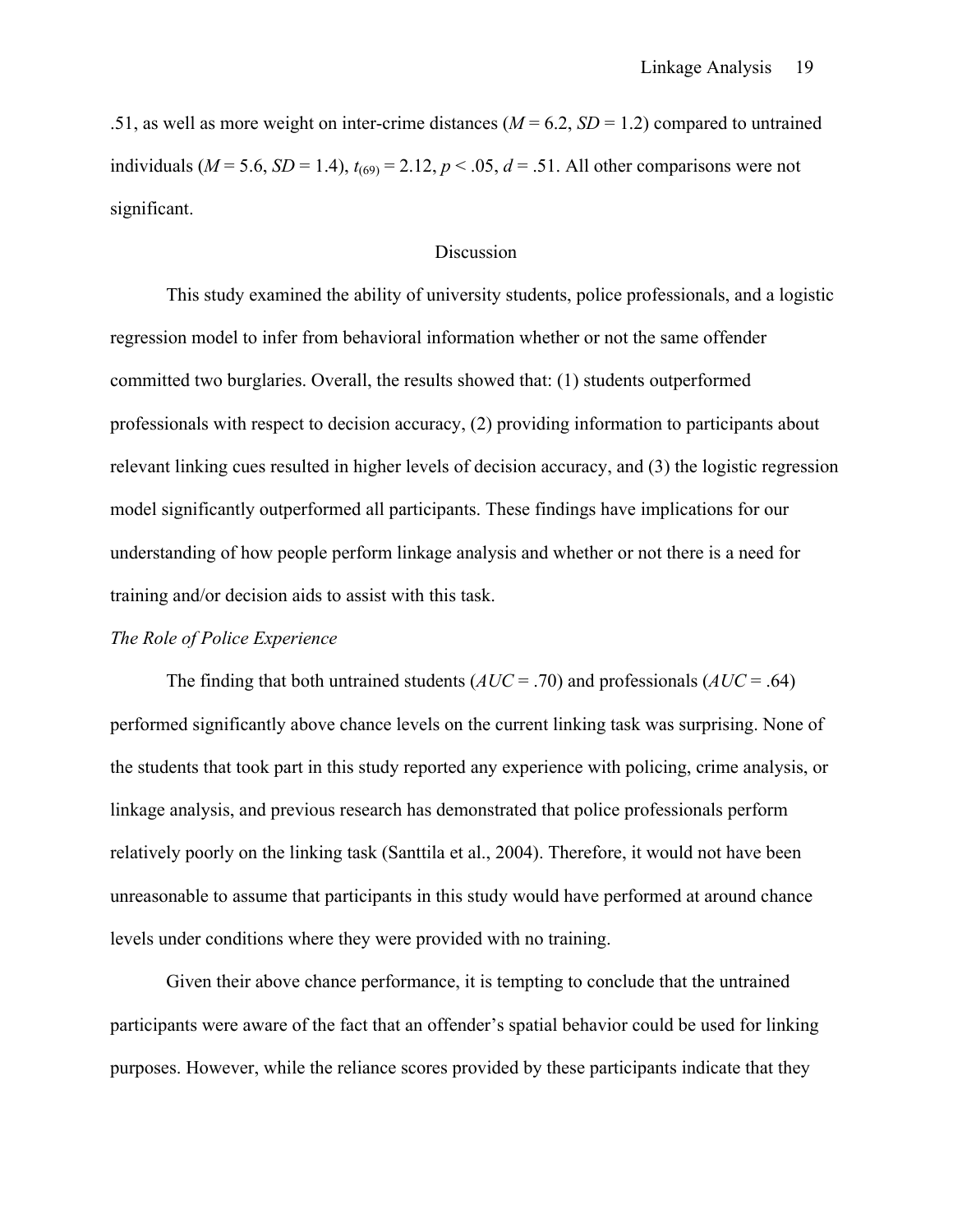.51, as well as more weight on inter-crime distances ( $M = 6.2$ ,  $SD = 1.2$ ) compared to untrained individuals ( $M = 5.6$ ,  $SD = 1.4$ ),  $t_{(69)} = 2.12$ ,  $p < .05$ ,  $d = .51$ . All other comparisons were not significant.

### Discussion

This study examined the ability of university students, police professionals, and a logistic regression model to infer from behavioral information whether or not the same offender committed two burglaries. Overall, the results showed that: (1) students outperformed professionals with respect to decision accuracy, (2) providing information to participants about relevant linking cues resulted in higher levels of decision accuracy, and (3) the logistic regression model significantly outperformed all participants. These findings have implications for our understanding of how people perform linkage analysis and whether or not there is a need for training and/or decision aids to assist with this task.

### *The Role of Police Experience*

The finding that both untrained students  $(AUC = .70)$  and professionals  $(AUC = .64)$ performed significantly above chance levels on the current linking task was surprising. None of the students that took part in this study reported any experience with policing, crime analysis, or linkage analysis, and previous research has demonstrated that police professionals perform relatively poorly on the linking task (Santtila et al., 2004). Therefore, it would not have been unreasonable to assume that participants in this study would have performed at around chance levels under conditions where they were provided with no training.

Given their above chance performance, it is tempting to conclude that the untrained participants were aware of the fact that an offender's spatial behavior could be used for linking purposes. However, while the reliance scores provided by these participants indicate that they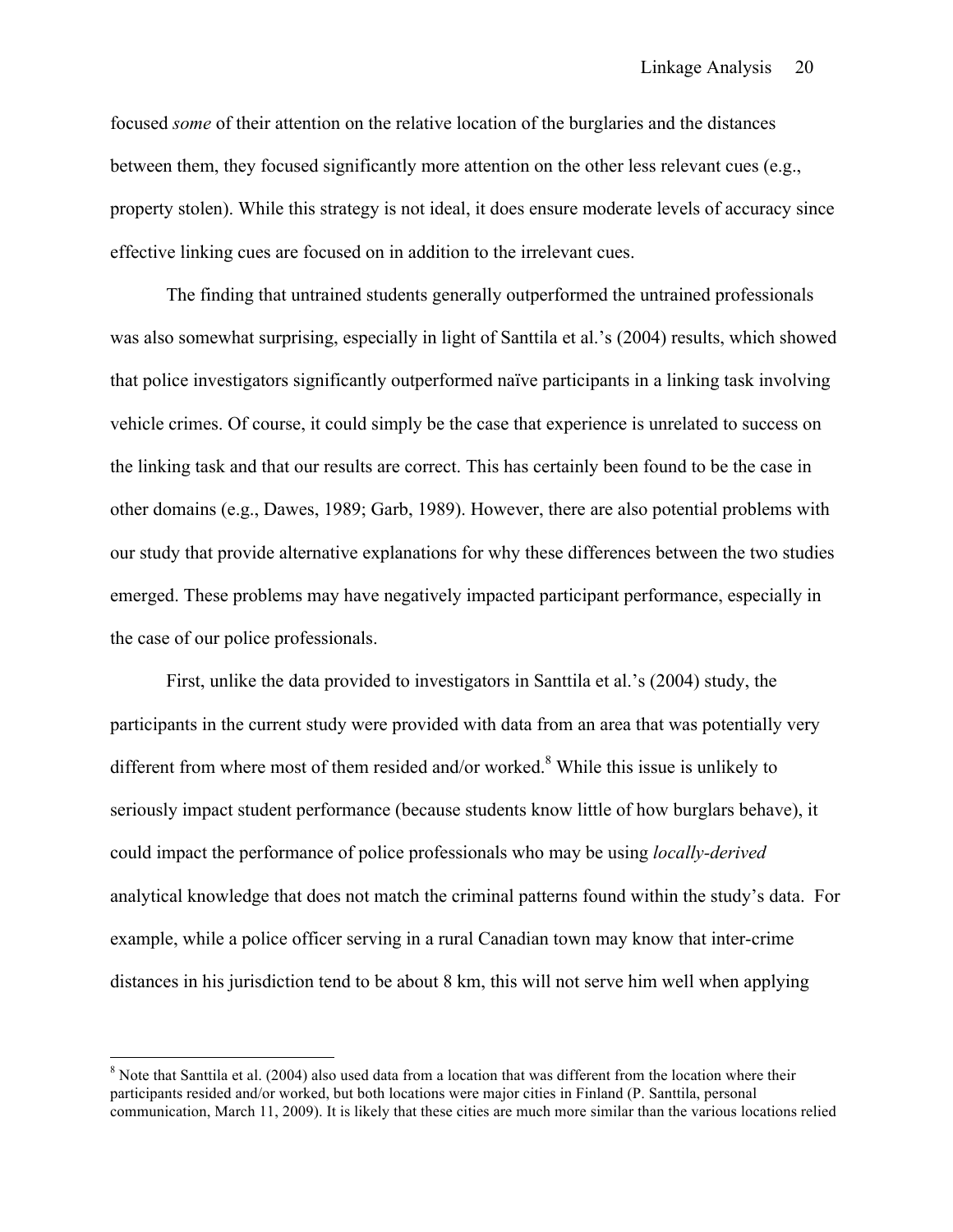focused *some* of their attention on the relative location of the burglaries and the distances between them, they focused significantly more attention on the other less relevant cues (e.g., property stolen). While this strategy is not ideal, it does ensure moderate levels of accuracy since effective linking cues are focused on in addition to the irrelevant cues.

The finding that untrained students generally outperformed the untrained professionals was also somewhat surprising, especially in light of Santtila et al.'s (2004) results, which showed that police investigators significantly outperformed naïve participants in a linking task involving vehicle crimes. Of course, it could simply be the case that experience is unrelated to success on the linking task and that our results are correct. This has certainly been found to be the case in other domains (e.g., Dawes, 1989; Garb, 1989). However, there are also potential problems with our study that provide alternative explanations for why these differences between the two studies emerged. These problems may have negatively impacted participant performance, especially in the case of our police professionals.

First, unlike the data provided to investigators in Santtila et al.'s (2004) study, the participants in the current study were provided with data from an area that was potentially very different from where most of them resided and/or worked.<sup>8</sup> While this issue is unlikely to seriously impact student performance (because students know little of how burglars behave), it could impact the performance of police professionals who may be using *locally-derived* analytical knowledge that does not match the criminal patterns found within the study's data. For example, while a police officer serving in a rural Canadian town may know that inter-crime distances in his jurisdiction tend to be about 8 km, this will not serve him well when applying

<sup>&</sup>lt;sup>8</sup> Note that Santtila et al. (2004) also used data from a location that was different from the location where their participants resided and/or worked, but both locations were major cities in Finland (P. Santtila, personal communication, March 11, 2009). It is likely that these cities are much more similar than the various locations relied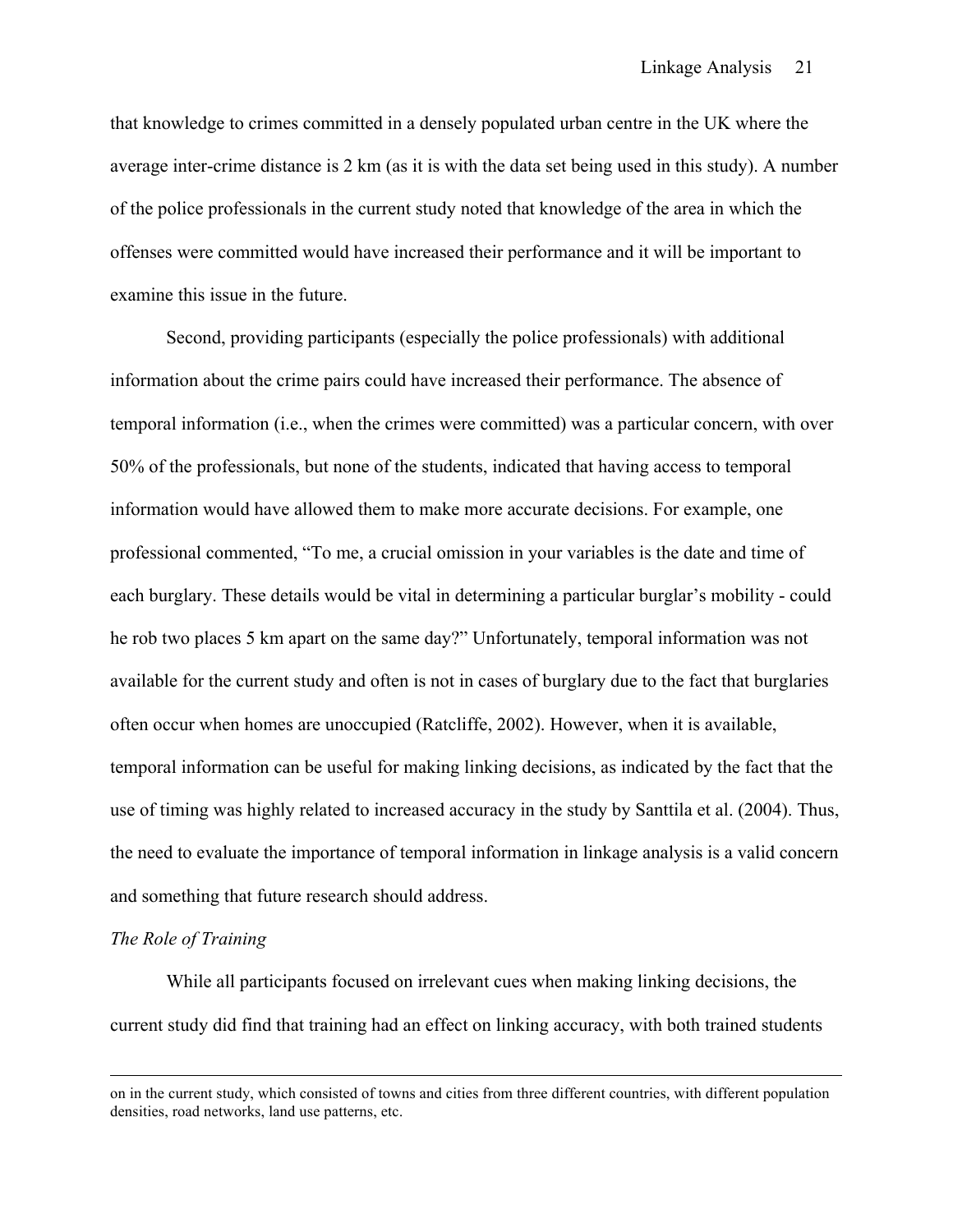that knowledge to crimes committed in a densely populated urban centre in the UK where the average inter-crime distance is 2 km (as it is with the data set being used in this study). A number of the police professionals in the current study noted that knowledge of the area in which the offenses were committed would have increased their performance and it will be important to examine this issue in the future.

Second, providing participants (especially the police professionals) with additional information about the crime pairs could have increased their performance. The absence of temporal information (i.e., when the crimes were committed) was a particular concern, with over 50% of the professionals, but none of the students, indicated that having access to temporal information would have allowed them to make more accurate decisions. For example, one professional commented, "To me, a crucial omission in your variables is the date and time of each burglary. These details would be vital in determining a particular burglar's mobility - could he rob two places 5 km apart on the same day?" Unfortunately, temporal information was not available for the current study and often is not in cases of burglary due to the fact that burglaries often occur when homes are unoccupied (Ratcliffe, 2002). However, when it is available, temporal information can be useful for making linking decisions, as indicated by the fact that the use of timing was highly related to increased accuracy in the study by Santtila et al. (2004). Thus, the need to evaluate the importance of temporal information in linkage analysis is a valid concern and something that future research should address.

# *The Role of Training*

While all participants focused on irrelevant cues when making linking decisions, the current study did find that training had an effect on linking accuracy, with both trained students

on in the current study, which consisted of towns and cities from three different countries, with different population densities, road networks, land use patterns, etc.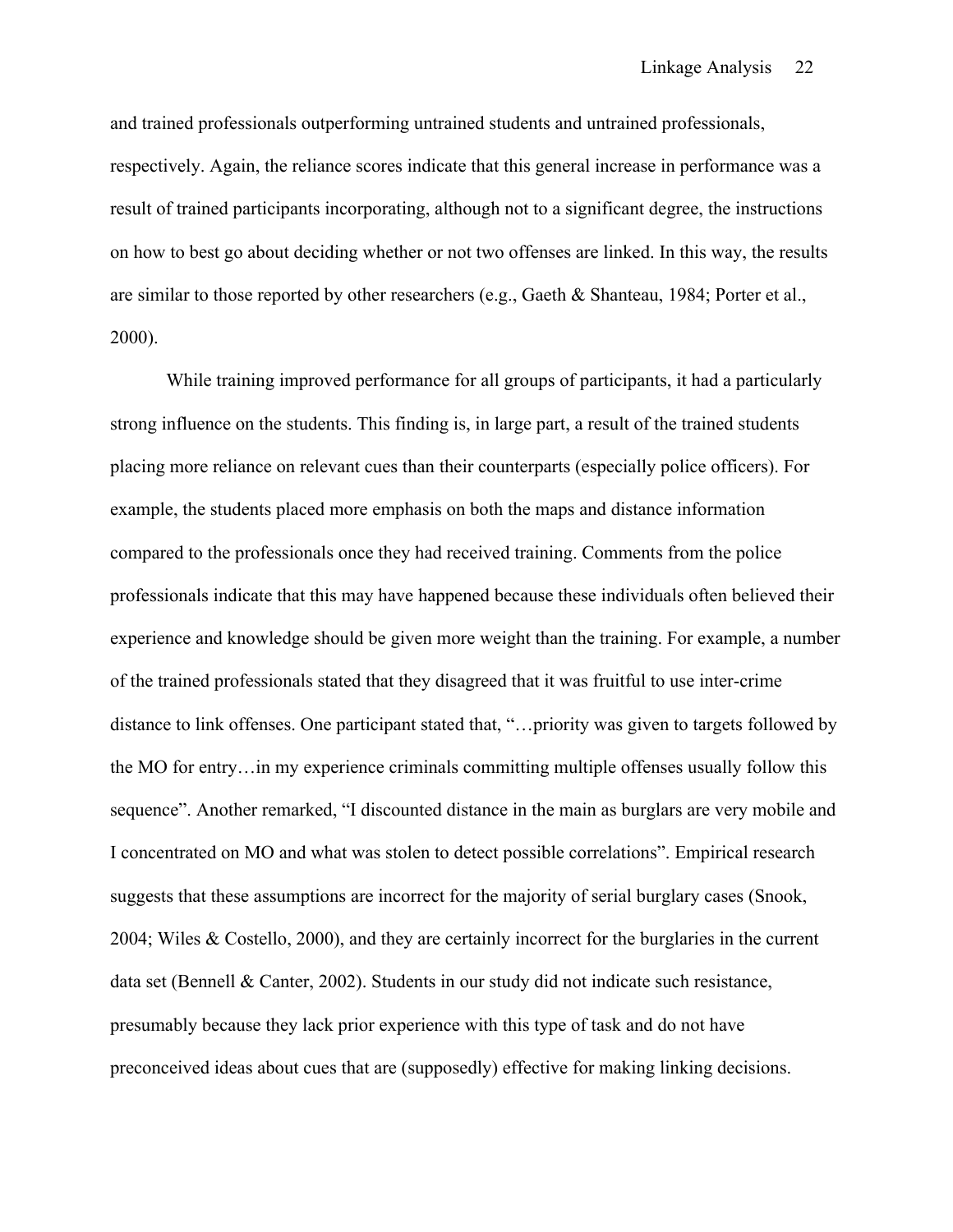and trained professionals outperforming untrained students and untrained professionals, respectively. Again, the reliance scores indicate that this general increase in performance was a result of trained participants incorporating, although not to a significant degree, the instructions on how to best go about deciding whether or not two offenses are linked. In this way, the results are similar to those reported by other researchers (e.g., Gaeth & Shanteau, 1984; Porter et al., 2000).

While training improved performance for all groups of participants, it had a particularly strong influence on the students. This finding is, in large part, a result of the trained students placing more reliance on relevant cues than their counterparts (especially police officers). For example, the students placed more emphasis on both the maps and distance information compared to the professionals once they had received training. Comments from the police professionals indicate that this may have happened because these individuals often believed their experience and knowledge should be given more weight than the training. For example, a number of the trained professionals stated that they disagreed that it was fruitful to use inter-crime distance to link offenses. One participant stated that, "…priority was given to targets followed by the MO for entry…in my experience criminals committing multiple offenses usually follow this sequence". Another remarked, "I discounted distance in the main as burglars are very mobile and I concentrated on MO and what was stolen to detect possible correlations". Empirical research suggests that these assumptions are incorrect for the majority of serial burglary cases (Snook, 2004; Wiles & Costello, 2000), and they are certainly incorrect for the burglaries in the current data set (Bennell & Canter, 2002). Students in our study did not indicate such resistance, presumably because they lack prior experience with this type of task and do not have preconceived ideas about cues that are (supposedly) effective for making linking decisions.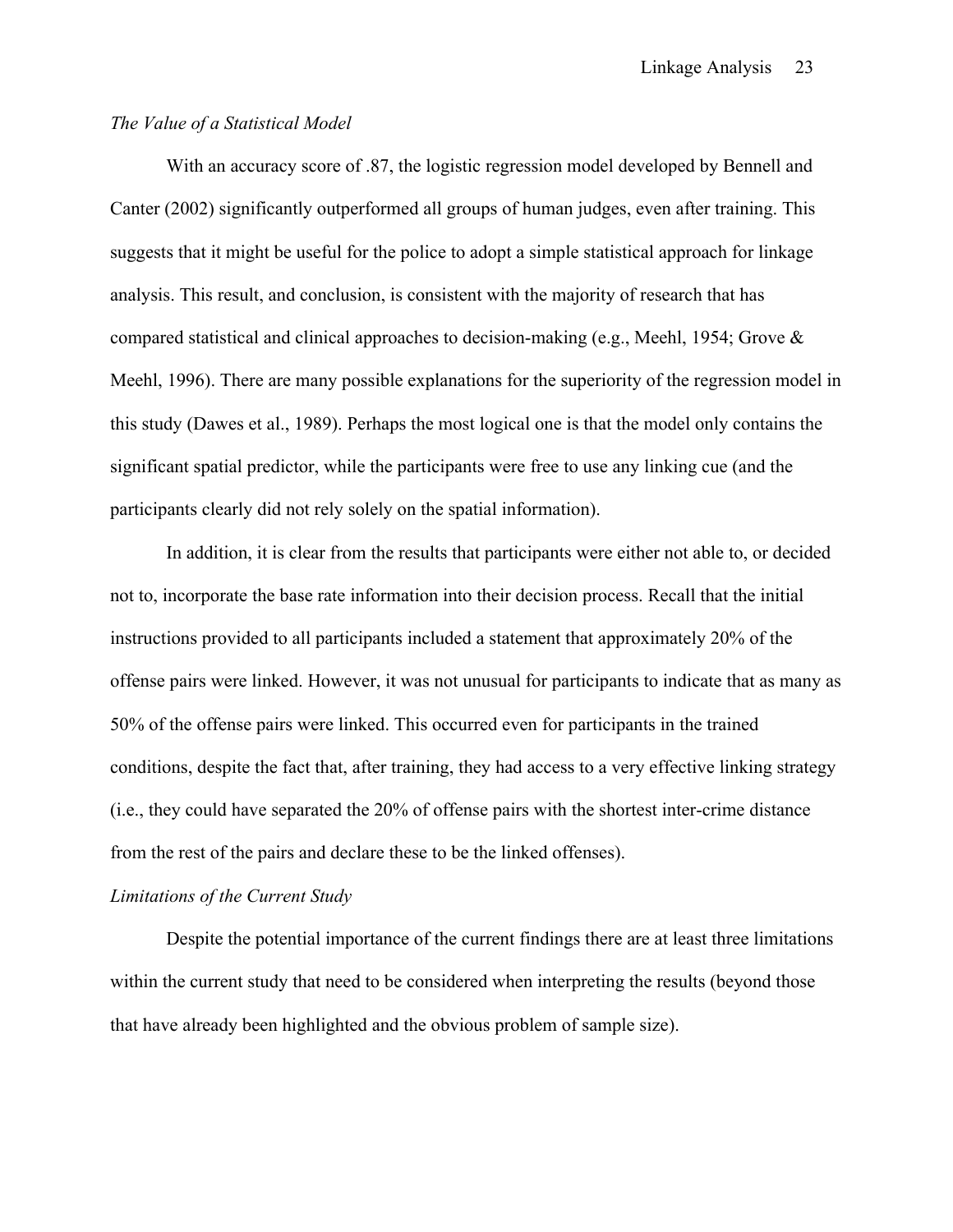# *The Value of a Statistical Model*

With an accuracy score of .87, the logistic regression model developed by Bennell and Canter (2002) significantly outperformed all groups of human judges, even after training. This suggests that it might be useful for the police to adopt a simple statistical approach for linkage analysis. This result, and conclusion, is consistent with the majority of research that has compared statistical and clinical approaches to decision-making (e.g., Meehl, 1954; Grove & Meehl, 1996). There are many possible explanations for the superiority of the regression model in this study (Dawes et al., 1989). Perhaps the most logical one is that the model only contains the significant spatial predictor, while the participants were free to use any linking cue (and the participants clearly did not rely solely on the spatial information).

In addition, it is clear from the results that participants were either not able to, or decided not to, incorporate the base rate information into their decision process. Recall that the initial instructions provided to all participants included a statement that approximately 20% of the offense pairs were linked. However, it was not unusual for participants to indicate that as many as 50% of the offense pairs were linked. This occurred even for participants in the trained conditions, despite the fact that, after training, they had access to a very effective linking strategy (i.e., they could have separated the 20% of offense pairs with the shortest inter-crime distance from the rest of the pairs and declare these to be the linked offenses).

## *Limitations of the Current Study*

Despite the potential importance of the current findings there are at least three limitations within the current study that need to be considered when interpreting the results (beyond those that have already been highlighted and the obvious problem of sample size).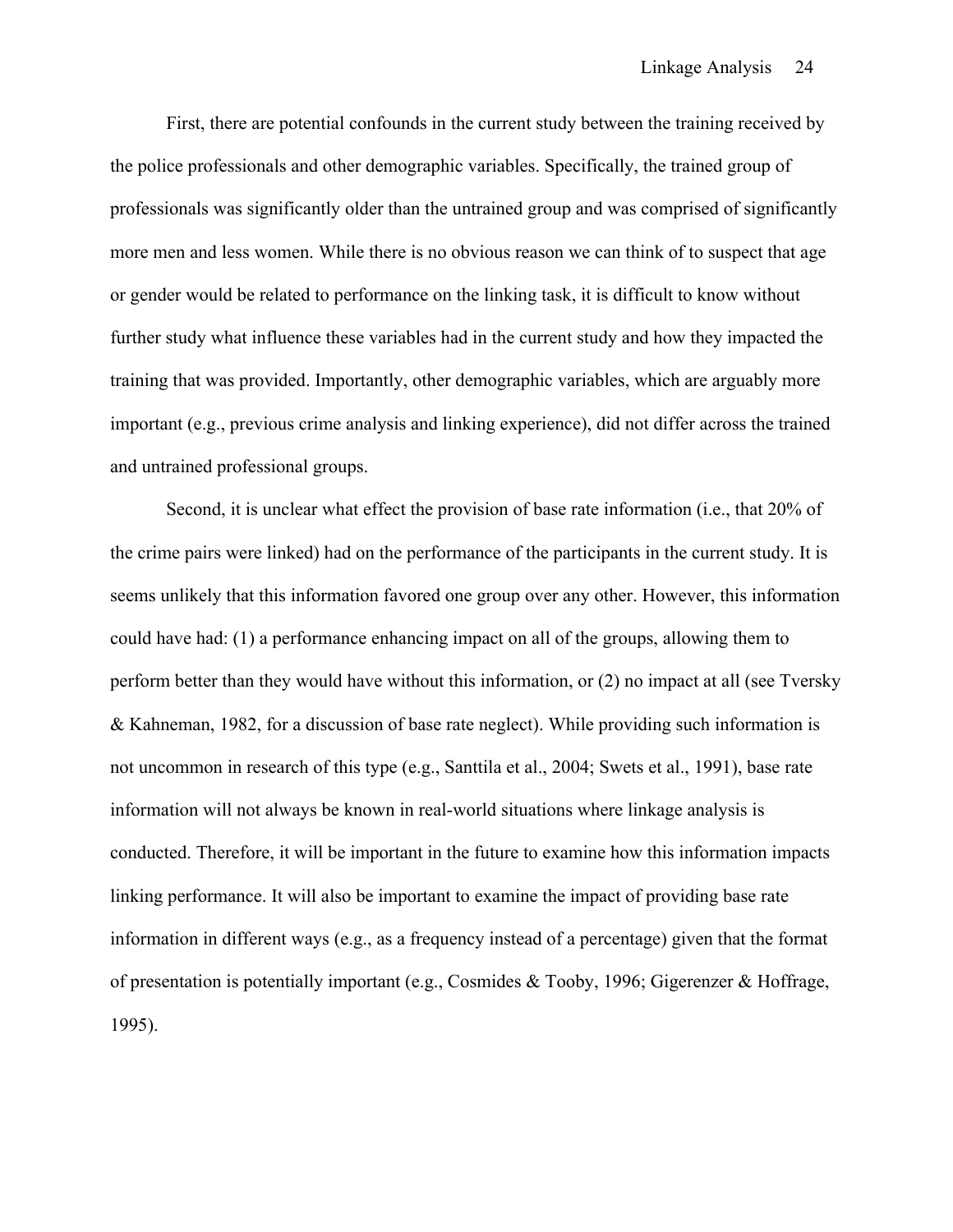First, there are potential confounds in the current study between the training received by the police professionals and other demographic variables. Specifically, the trained group of professionals was significantly older than the untrained group and was comprised of significantly more men and less women. While there is no obvious reason we can think of to suspect that age or gender would be related to performance on the linking task, it is difficult to know without further study what influence these variables had in the current study and how they impacted the training that was provided. Importantly, other demographic variables, which are arguably more important (e.g., previous crime analysis and linking experience), did not differ across the trained and untrained professional groups.

Second, it is unclear what effect the provision of base rate information (i.e., that 20% of the crime pairs were linked) had on the performance of the participants in the current study. It is seems unlikely that this information favored one group over any other. However, this information could have had: (1) a performance enhancing impact on all of the groups, allowing them to perform better than they would have without this information, or (2) no impact at all (see Tversky & Kahneman, 1982, for a discussion of base rate neglect). While providing such information is not uncommon in research of this type (e.g., Santtila et al., 2004; Swets et al., 1991), base rate information will not always be known in real-world situations where linkage analysis is conducted. Therefore, it will be important in the future to examine how this information impacts linking performance. It will also be important to examine the impact of providing base rate information in different ways (e.g., as a frequency instead of a percentage) given that the format of presentation is potentially important (e.g., Cosmides & Tooby, 1996; Gigerenzer & Hoffrage, 1995).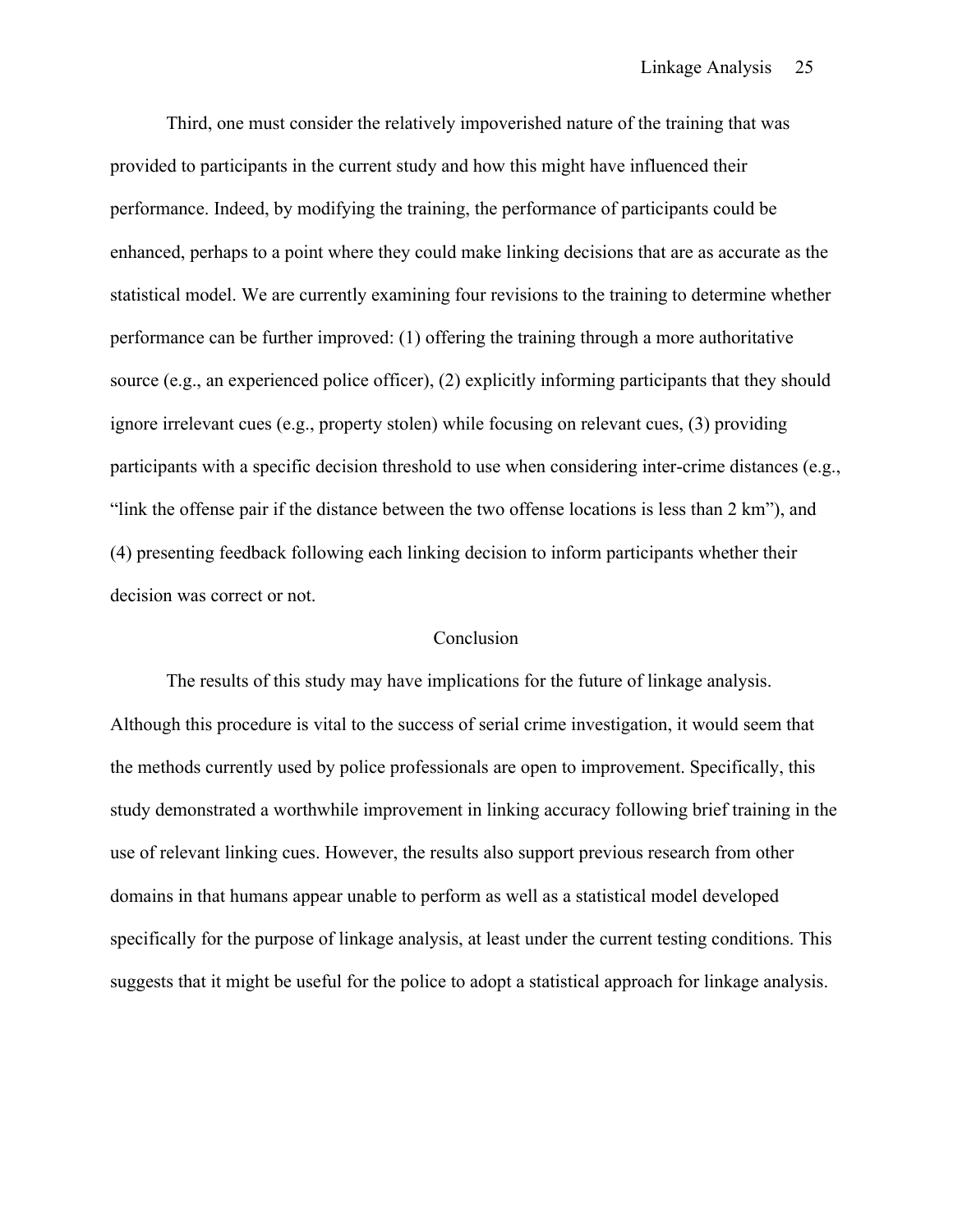Third, one must consider the relatively impoverished nature of the training that was provided to participants in the current study and how this might have influenced their performance. Indeed, by modifying the training, the performance of participants could be enhanced, perhaps to a point where they could make linking decisions that are as accurate as the statistical model. We are currently examining four revisions to the training to determine whether performance can be further improved: (1) offering the training through a more authoritative source (e.g., an experienced police officer), (2) explicitly informing participants that they should ignore irrelevant cues (e.g., property stolen) while focusing on relevant cues, (3) providing participants with a specific decision threshold to use when considering inter-crime distances (e.g., "link the offense pair if the distance between the two offense locations is less than 2 km"), and (4) presenting feedback following each linking decision to inform participants whether their decision was correct or not.

#### Conclusion

The results of this study may have implications for the future of linkage analysis. Although this procedure is vital to the success of serial crime investigation, it would seem that the methods currently used by police professionals are open to improvement. Specifically, this study demonstrated a worthwhile improvement in linking accuracy following brief training in the use of relevant linking cues. However, the results also support previous research from other domains in that humans appear unable to perform as well as a statistical model developed specifically for the purpose of linkage analysis, at least under the current testing conditions. This suggests that it might be useful for the police to adopt a statistical approach for linkage analysis.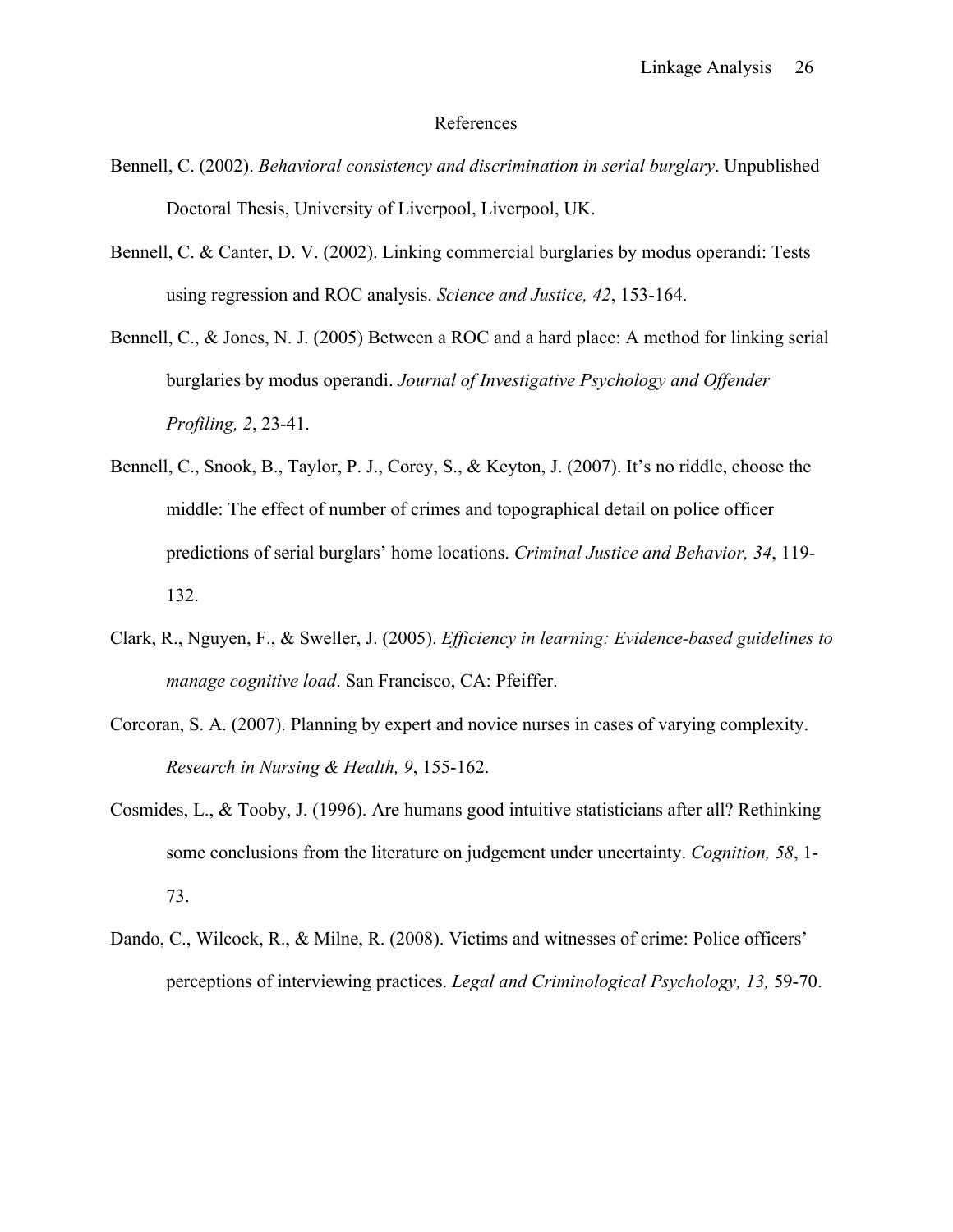#### References

- Bennell, C. (2002). *Behavioral consistency and discrimination in serial burglary*. Unpublished Doctoral Thesis, University of Liverpool, Liverpool, UK.
- Bennell, C. & Canter, D. V. (2002). Linking commercial burglaries by modus operandi: Tests using regression and ROC analysis. *Science and Justice, 42*, 153-164.
- Bennell, C., & Jones, N. J. (2005) Between a ROC and a hard place: A method for linking serial burglaries by modus operandi. *Journal of Investigative Psychology and Offender Profiling, 2*, 23-41.
- Bennell, C., Snook, B., Taylor, P. J., Corey, S., & Keyton, J. (2007). It's no riddle, choose the middle: The effect of number of crimes and topographical detail on police officer predictions of serial burglars' home locations. *Criminal Justice and Behavior, 34*, 119- 132.
- Clark, R., Nguyen, F., & Sweller, J. (2005). *Efficiency in learning: Evidence-based guidelines to manage cognitive load*. San Francisco, CA: Pfeiffer.
- Corcoran, S. A. (2007). Planning by expert and novice nurses in cases of varying complexity. *Research in Nursing & Health, 9*, 155-162.
- Cosmides, L., & Tooby, J. (1996). Are humans good intuitive statisticians after all? Rethinking some conclusions from the literature on judgement under uncertainty. *Cognition, 58*, 1- 73.
- Dando, C., Wilcock, R., & Milne, R. (2008). Victims and witnesses of crime: Police officers' perceptions of interviewing practices. *Legal and Criminological Psychology, 13,* 59-70.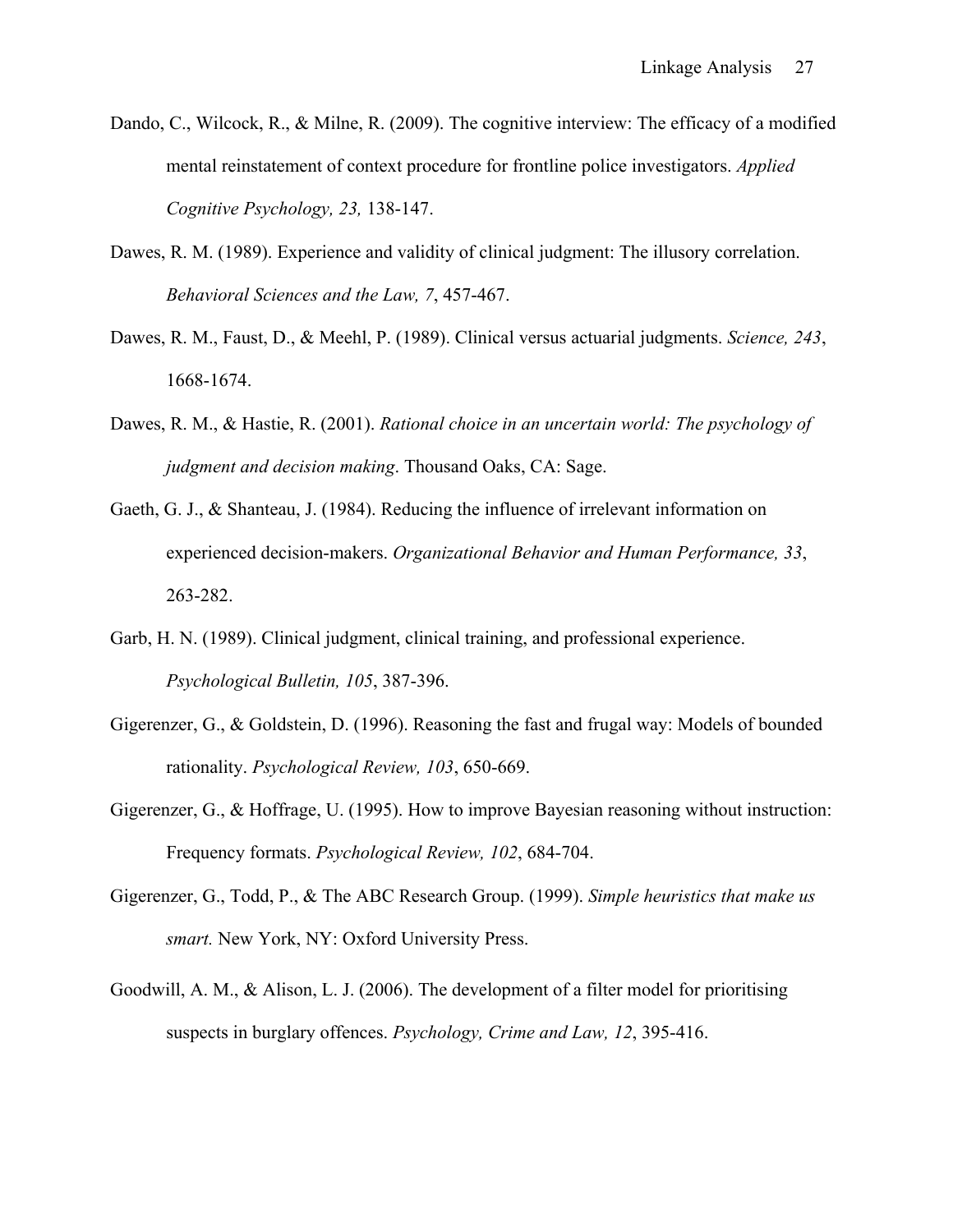- Dando, C., Wilcock, R., & Milne, R. (2009). The cognitive interview: The efficacy of a modified mental reinstatement of context procedure for frontline police investigators. *Applied Cognitive Psychology, 23,* 138-147.
- Dawes, R. M. (1989). Experience and validity of clinical judgment: The illusory correlation. *Behavioral Sciences and the Law, 7*, 457-467.
- Dawes, R. M., Faust, D., & Meehl, P. (1989). Clinical versus actuarial judgments. *Science, 243*, 1668-1674.
- Dawes, R. M., & Hastie, R. (2001). *Rational choice in an uncertain world: The psychology of judgment and decision making*. Thousand Oaks, CA: Sage.
- Gaeth, G. J., & Shanteau, J. (1984). Reducing the influence of irrelevant information on experienced decision-makers. *Organizational Behavior and Human Performance, 33*, 263-282.
- Garb, H. N. (1989). Clinical judgment, clinical training, and professional experience. *Psychological Bulletin, 105*, 387-396.
- Gigerenzer, G., & Goldstein, D. (1996). Reasoning the fast and frugal way: Models of bounded rationality. *Psychological Review, 103*, 650-669.
- Gigerenzer, G., & Hoffrage, U. (1995). How to improve Bayesian reasoning without instruction: Frequency formats. *Psychological Review, 102*, 684-704.
- Gigerenzer, G., Todd, P., & The ABC Research Group. (1999). *Simple heuristics that make us smart.* New York, NY: Oxford University Press.
- Goodwill, A. M., & Alison, L. J. (2006). The development of a filter model for prioritising suspects in burglary offences. *Psychology, Crime and Law, 12*, 395-416.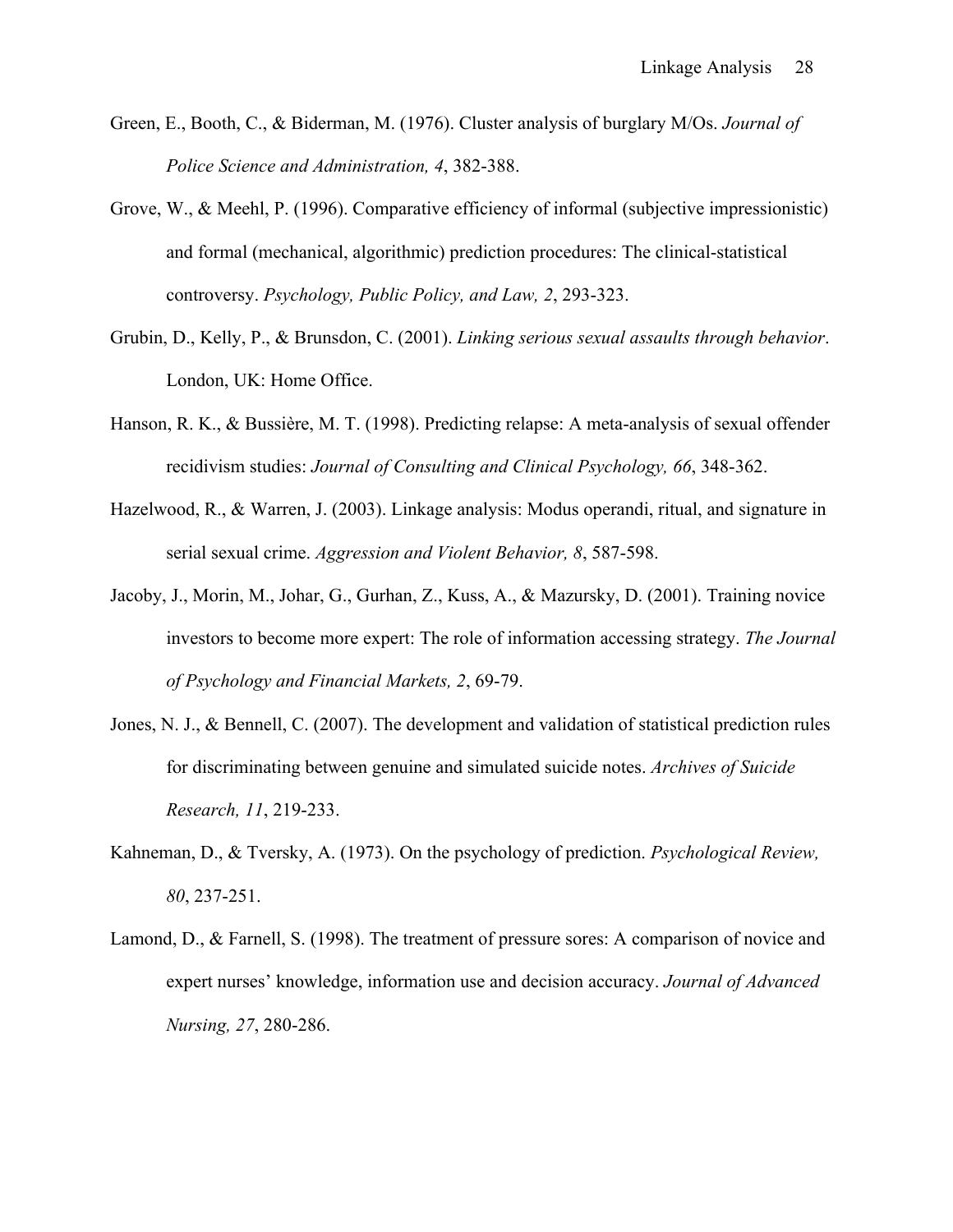- Green, E., Booth, C., & Biderman, M. (1976). Cluster analysis of burglary M/Os. *Journal of Police Science and Administration, 4*, 382-388.
- Grove, W., & Meehl, P. (1996). Comparative efficiency of informal (subjective impressionistic) and formal (mechanical, algorithmic) prediction procedures: The clinical-statistical controversy. *Psychology, Public Policy, and Law, 2*, 293-323.
- Grubin, D., Kelly, P., & Brunsdon, C. (2001). *Linking serious sexual assaults through behavior*. London, UK: Home Office.
- Hanson, R. K., & Bussière, M. T. (1998). Predicting relapse: A meta-analysis of sexual offender recidivism studies: *Journal of Consulting and Clinical Psychology, 66*, 348-362.
- Hazelwood, R., & Warren, J. (2003). Linkage analysis: Modus operandi, ritual, and signature in serial sexual crime. *Aggression and Violent Behavior, 8*, 587-598.
- Jacoby, J., Morin, M., Johar, G., Gurhan, Z., Kuss, A., & Mazursky, D. (2001). Training novice investors to become more expert: The role of information accessing strategy. *The Journal of Psychology and Financial Markets, 2*, 69-79.
- Jones, N. J., & Bennell, C. (2007). The development and validation of statistical prediction rules for discriminating between genuine and simulated suicide notes. *Archives of Suicide Research, 11*, 219-233.
- Kahneman, D., & Tversky, A. (1973). On the psychology of prediction. *Psychological Review, 80*, 237-251.
- Lamond, D., & Farnell, S. (1998). The treatment of pressure sores: A comparison of novice and expert nurses' knowledge, information use and decision accuracy. *Journal of Advanced Nursing, 27*, 280-286.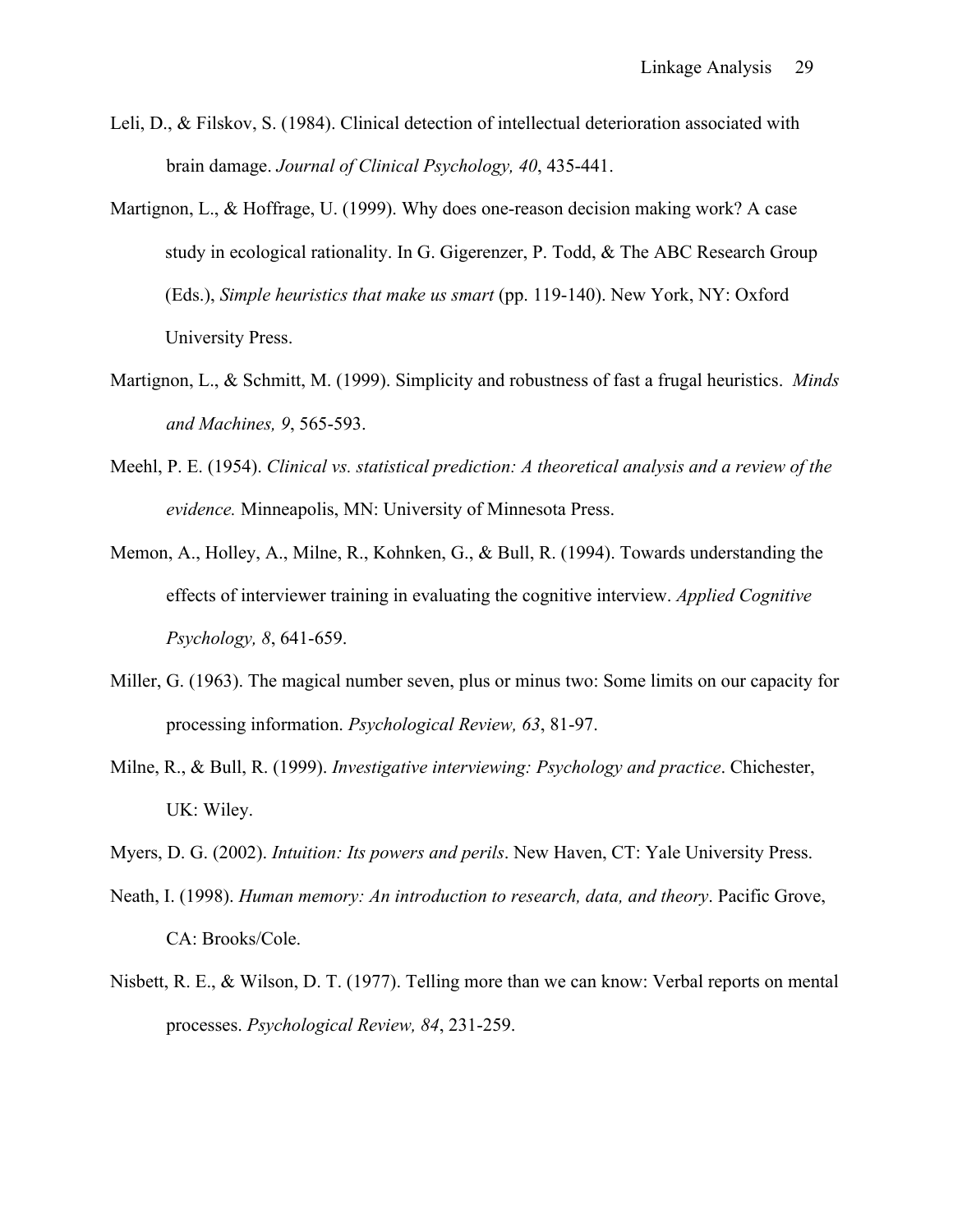- Leli, D., & Filskov, S. (1984). Clinical detection of intellectual deterioration associated with brain damage. *Journal of Clinical Psychology, 40*, 435-441.
- Martignon, L., & Hoffrage, U. (1999). Why does one-reason decision making work? A case study in ecological rationality. In G. Gigerenzer, P. Todd, & The ABC Research Group (Eds.), *Simple heuristics that make us smart* (pp. 119-140). New York, NY: Oxford University Press.
- Martignon, L., & Schmitt, M. (1999). Simplicity and robustness of fast a frugal heuristics. *Minds and Machines, 9*, 565-593.
- Meehl, P. E. (1954). *Clinical vs. statistical prediction: A theoretical analysis and a review of the evidence.* Minneapolis, MN: University of Minnesota Press.
- Memon, A., Holley, A., Milne, R., Kohnken, G., & Bull, R. (1994). Towards understanding the effects of interviewer training in evaluating the cognitive interview. *Applied Cognitive Psychology, 8*, 641-659.
- Miller, G. (1963). The magical number seven, plus or minus two: Some limits on our capacity for processing information. *Psychological Review, 63*, 81-97.
- Milne, R., & Bull, R. (1999). *Investigative interviewing: Psychology and practice*. Chichester, UK: Wiley.
- Myers, D. G. (2002). *Intuition: Its powers and perils*. New Haven, CT: Yale University Press.
- Neath, I. (1998). *Human memory: An introduction to research, data, and theory*. Pacific Grove, CA: Brooks/Cole.
- Nisbett, R. E., & Wilson, D. T. (1977). Telling more than we can know: Verbal reports on mental processes. *Psychological Review, 84*, 231-259.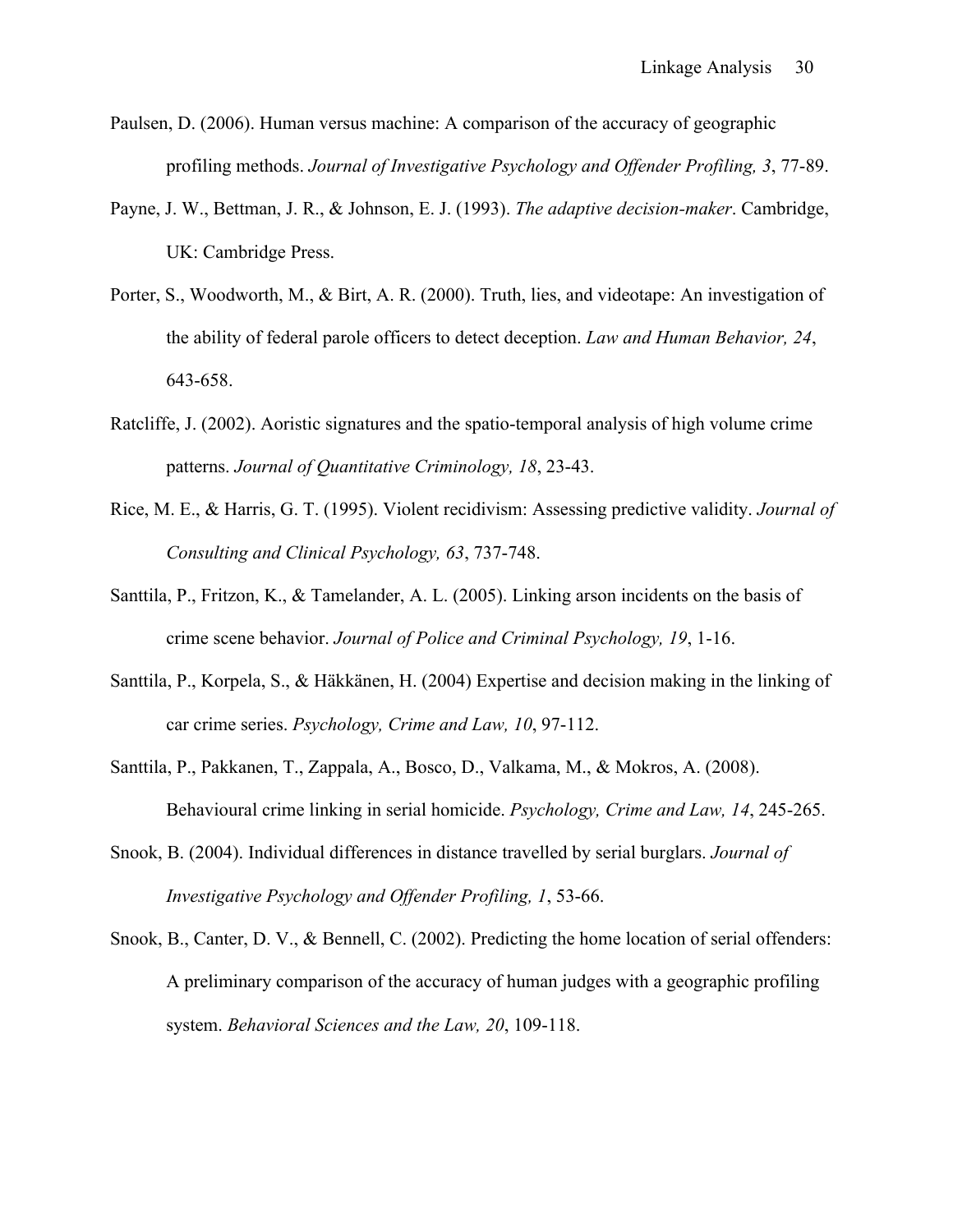- Paulsen, D. (2006). Human versus machine: A comparison of the accuracy of geographic profiling methods. *Journal of Investigative Psychology and Offender Profiling, 3*, 77-89.
- Payne, J. W., Bettman, J. R., & Johnson, E. J. (1993). *The adaptive decision-maker*. Cambridge, UK: Cambridge Press.
- Porter, S., Woodworth, M., & Birt, A. R. (2000). Truth, lies, and videotape: An investigation of the ability of federal parole officers to detect deception. *Law and Human Behavior, 24*, 643-658.
- Ratcliffe, J. (2002). Aoristic signatures and the spatio-temporal analysis of high volume crime patterns. *Journal of Quantitative Criminology, 18*, 23-43.
- Rice, M. E., & Harris, G. T. (1995). Violent recidivism: Assessing predictive validity. *Journal of Consulting and Clinical Psychology, 63*, 737-748.
- Santtila, P., Fritzon, K., & Tamelander, A. L. (2005). Linking arson incidents on the basis of crime scene behavior. *Journal of Police and Criminal Psychology, 19*, 1-16.
- Santtila, P., Korpela, S., & Häkkänen, H. (2004) Expertise and decision making in the linking of car crime series. *Psychology, Crime and Law, 10*, 97-112.
- Santtila, P., Pakkanen, T., Zappala, A., Bosco, D., Valkama, M., & Mokros, A. (2008). Behavioural crime linking in serial homicide. *Psychology, Crime and Law, 14*, 245-265.
- Snook, B. (2004). Individual differences in distance travelled by serial burglars. *Journal of Investigative Psychology and Offender Profiling, 1*, 53-66.
- Snook, B., Canter, D. V., & Bennell, C. (2002). Predicting the home location of serial offenders: A preliminary comparison of the accuracy of human judges with a geographic profiling system. *Behavioral Sciences and the Law, 20*, 109-118.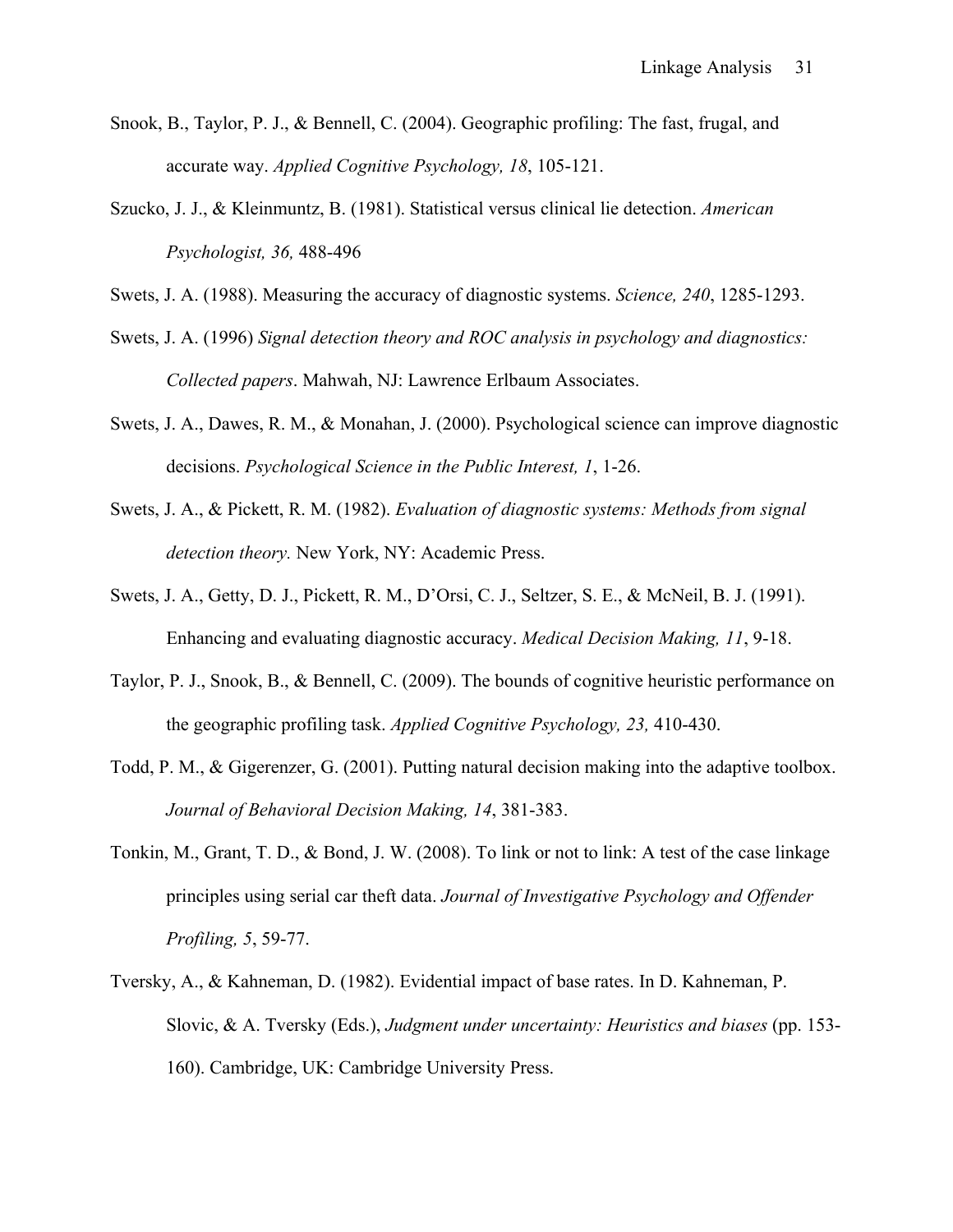- Snook, B., Taylor, P. J., & Bennell, C. (2004). Geographic profiling: The fast, frugal, and accurate way. *Applied Cognitive Psychology, 18*, 105-121.
- Szucko, J. J., & Kleinmuntz, B. (1981). Statistical versus clinical lie detection. *American Psychologist, 36,* 488-496

Swets, J. A. (1988). Measuring the accuracy of diagnostic systems. *Science, 240*, 1285-1293.

- Swets, J. A. (1996) *Signal detection theory and ROC analysis in psychology and diagnostics: Collected papers*. Mahwah, NJ: Lawrence Erlbaum Associates.
- Swets, J. A., Dawes, R. M., & Monahan, J. (2000). Psychological science can improve diagnostic decisions. *Psychological Science in the Public Interest, 1*, 1-26.
- Swets, J. A., & Pickett, R. M. (1982). *Evaluation of diagnostic systems: Methods from signal detection theory.* New York, NY: Academic Press.
- Swets, J. A., Getty, D. J., Pickett, R. M., D'Orsi, C. J., Seltzer, S. E., & McNeil, B. J. (1991). Enhancing and evaluating diagnostic accuracy. *Medical Decision Making, 11*, 9-18.
- Taylor, P. J., Snook, B., & Bennell, C. (2009). The bounds of cognitive heuristic performance on the geographic profiling task. *Applied Cognitive Psychology, 23,* 410-430.
- Todd, P. M., & Gigerenzer, G. (2001). Putting natural decision making into the adaptive toolbox. *Journal of Behavioral Decision Making, 14*, 381-383.
- Tonkin, M., Grant, T. D., & Bond, J. W. (2008). To link or not to link: A test of the case linkage principles using serial car theft data. *Journal of Investigative Psychology and Offender Profiling, 5*, 59-77.
- Tversky, A., & Kahneman, D. (1982). Evidential impact of base rates. In D. Kahneman, P. Slovic, & A. Tversky (Eds.), *Judgment under uncertainty: Heuristics and biases* (pp. 153- 160). Cambridge, UK: Cambridge University Press.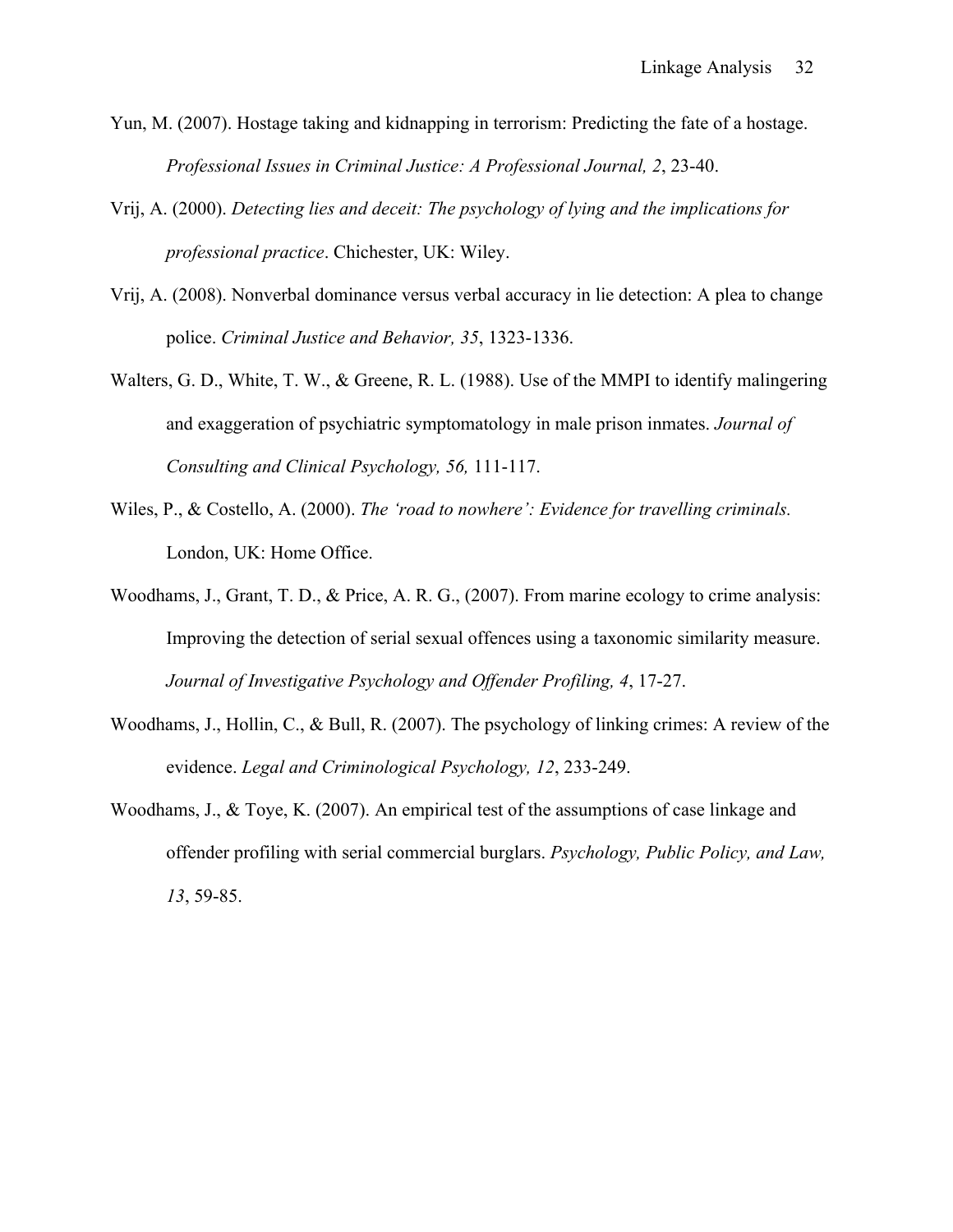- Yun, M. (2007). Hostage taking and kidnapping in terrorism: Predicting the fate of a hostage. *Professional Issues in Criminal Justice: A Professional Journal, 2*, 23-40.
- Vrij, A. (2000). *Detecting lies and deceit: The psychology of lying and the implications for professional practice*. Chichester, UK: Wiley.
- Vrij, A. (2008). Nonverbal dominance versus verbal accuracy in lie detection: A plea to change police. *Criminal Justice and Behavior, 35*, 1323-1336.
- Walters, G. D., White, T. W., & Greene, R. L. (1988). Use of the MMPI to identify malingering and exaggeration of psychiatric symptomatology in male prison inmates. *Journal of Consulting and Clinical Psychology, 56,* 111-117.
- Wiles, P., & Costello, A. (2000). *The 'road to nowhere': Evidence for travelling criminals.* London, UK: Home Office.
- Woodhams, J., Grant, T. D., & Price, A. R. G., (2007). From marine ecology to crime analysis: Improving the detection of serial sexual offences using a taxonomic similarity measure. *Journal of Investigative Psychology and Offender Profiling, 4*, 17-27.
- Woodhams, J., Hollin, C., & Bull, R. (2007). The psychology of linking crimes: A review of the evidence. *Legal and Criminological Psychology, 12*, 233-249.
- Woodhams, J., & Toye, K. (2007). An empirical test of the assumptions of case linkage and offender profiling with serial commercial burglars. *Psychology, Public Policy, and Law, 13*, 59-85.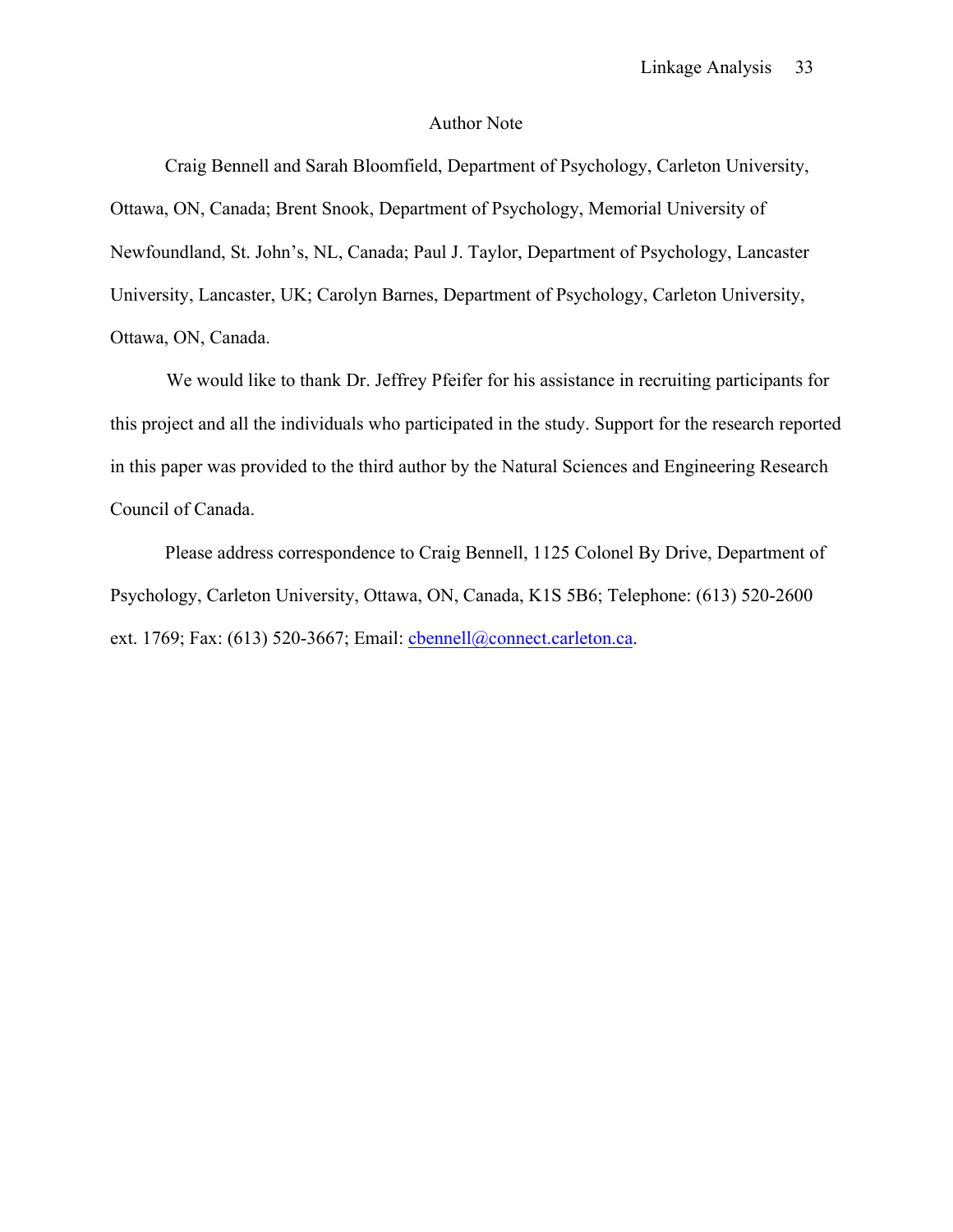#### Author Note

Craig Bennell and Sarah Bloomfield, Department of Psychology, Carleton University, Ottawa, ON, Canada; Brent Snook, Department of Psychology, Memorial University of Newfoundland, St. John's, NL, Canada; Paul J. Taylor, Department of Psychology, Lancaster University, Lancaster, UK; Carolyn Barnes, Department of Psychology, Carleton University, Ottawa, ON, Canada.

We would like to thank Dr. Jeffrey Pfeifer for his assistance in recruiting participants for this project and all the individuals who participated in the study. Support for the research reported in this paper was provided to the third author by the Natural Sciences and Engineering Research Council of Canada.

Please address correspondence to Craig Bennell, 1125 Colonel By Drive, Department of Psychology, Carleton University, Ottawa, ON, Canada, K1S 5B6; Telephone: (613) 520-2600 ext. 1769; Fax: (613) 520-3667; Email: cbennell@connect.carleton.ca.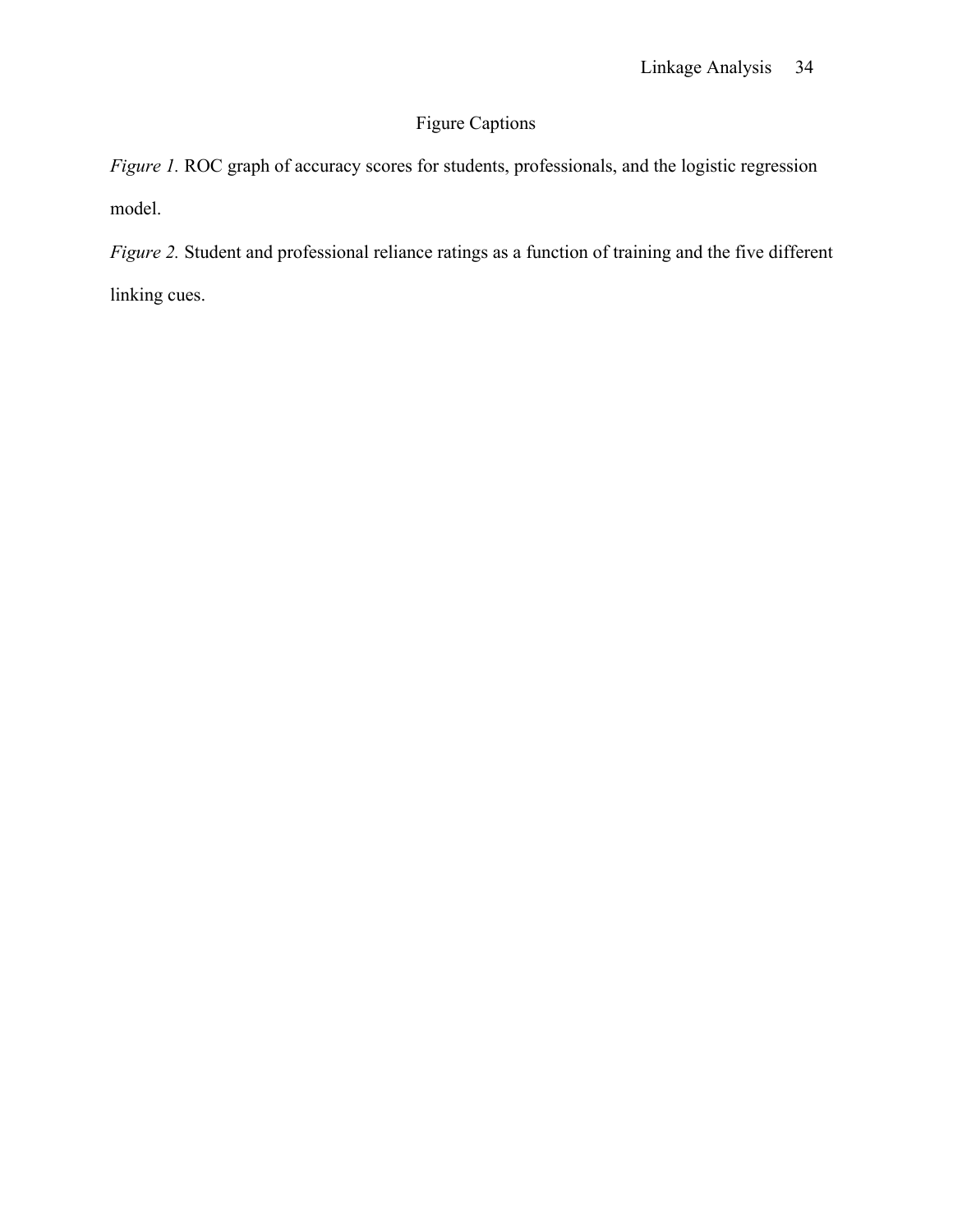# Figure Captions

*Figure 1.* ROC graph of accuracy scores for students, professionals, and the logistic regression model.

*Figure 2.* Student and professional reliance ratings as a function of training and the five different linking cues.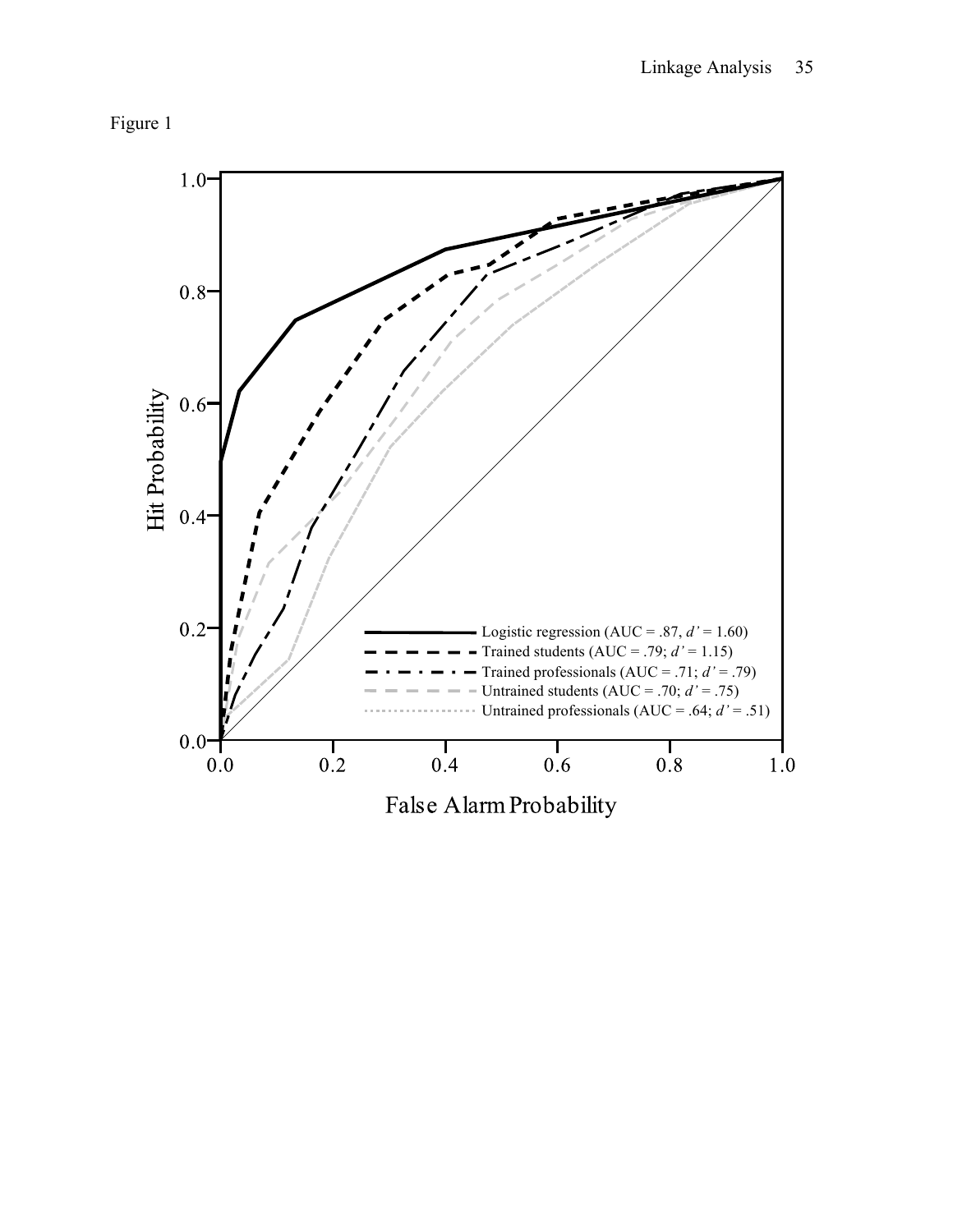



False Alarm Probability